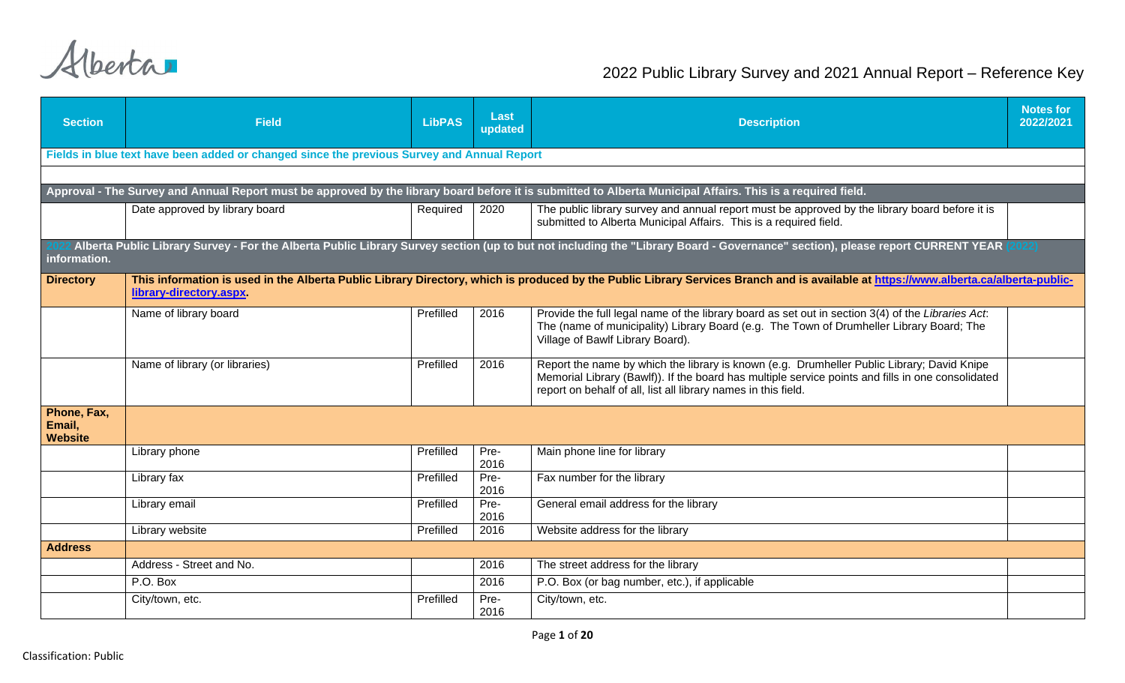| <b>Section</b>                          | <b>Field</b>                                                                               | <b>LibPAS</b> | Last<br>updated | <b>Description</b>                                                                                                                                                                                                                                                | <b>Notes for</b><br>2022/2021 |
|-----------------------------------------|--------------------------------------------------------------------------------------------|---------------|-----------------|-------------------------------------------------------------------------------------------------------------------------------------------------------------------------------------------------------------------------------------------------------------------|-------------------------------|
|                                         | Fields in blue text have been added or changed since the previous Survey and Annual Report |               |                 |                                                                                                                                                                                                                                                                   |                               |
|                                         |                                                                                            |               |                 |                                                                                                                                                                                                                                                                   |                               |
|                                         |                                                                                            |               |                 | Approval - The Survey and Annual Report must be approved by the library board before it is submitted to Alberta Municipal Affairs. This is a required field.                                                                                                      |                               |
|                                         | Date approved by library board                                                             | Required      | 2020            | The public library survey and annual report must be approved by the library board before it is<br>submitted to Alberta Municipal Affairs. This is a required field.                                                                                               |                               |
| information.                            |                                                                                            |               |                 | Alberta Public Library Survey - For the Alberta Public Library Survey section (up to but not including the "Library Board - Governance" section), please report CURRENT YEAR (2022)                                                                               |                               |
| <b>Directory</b>                        | library-directory.aspx.                                                                    |               |                 | This information is used in the Alberta Public Library Directory, which is produced by the Public Library Services Branch and is available at https://www.alberta.ca/alberta-public-                                                                              |                               |
|                                         | Name of library board                                                                      | Prefilled     | 2016            | Provide the full legal name of the library board as set out in section 3(4) of the Libraries Act.<br>The (name of municipality) Library Board (e.g. The Town of Drumheller Library Board; The<br>Village of Bawlf Library Board).                                 |                               |
|                                         | Name of library (or libraries)                                                             | Prefilled     | 2016            | Report the name by which the library is known (e.g. Drumheller Public Library; David Knipe<br>Memorial Library (Bawlf)). If the board has multiple service points and fills in one consolidated<br>report on behalf of all, list all library names in this field. |                               |
| Phone, Fax,<br>Email,<br><b>Website</b> |                                                                                            |               |                 |                                                                                                                                                                                                                                                                   |                               |
|                                         | Library phone                                                                              | Prefilled     | Pre-<br>2016    | Main phone line for library                                                                                                                                                                                                                                       |                               |
|                                         | Library fax                                                                                | Prefilled     | Pre-<br>2016    | Fax number for the library                                                                                                                                                                                                                                        |                               |
|                                         | Library email                                                                              | Prefilled     | Pre-<br>2016    | General email address for the library                                                                                                                                                                                                                             |                               |
|                                         | Library website                                                                            | Prefilled     | 2016            | Website address for the library                                                                                                                                                                                                                                   |                               |
| <b>Address</b>                          |                                                                                            |               |                 |                                                                                                                                                                                                                                                                   |                               |
|                                         | Address - Street and No.                                                                   |               | 2016            | The street address for the library                                                                                                                                                                                                                                |                               |
|                                         | P.O. Box                                                                                   |               | 2016            | P.O. Box (or bag number, etc.), if applicable                                                                                                                                                                                                                     |                               |
|                                         | City/town, etc.                                                                            | Prefilled     | Pre-<br>2016    | City/town, etc.                                                                                                                                                                                                                                                   |                               |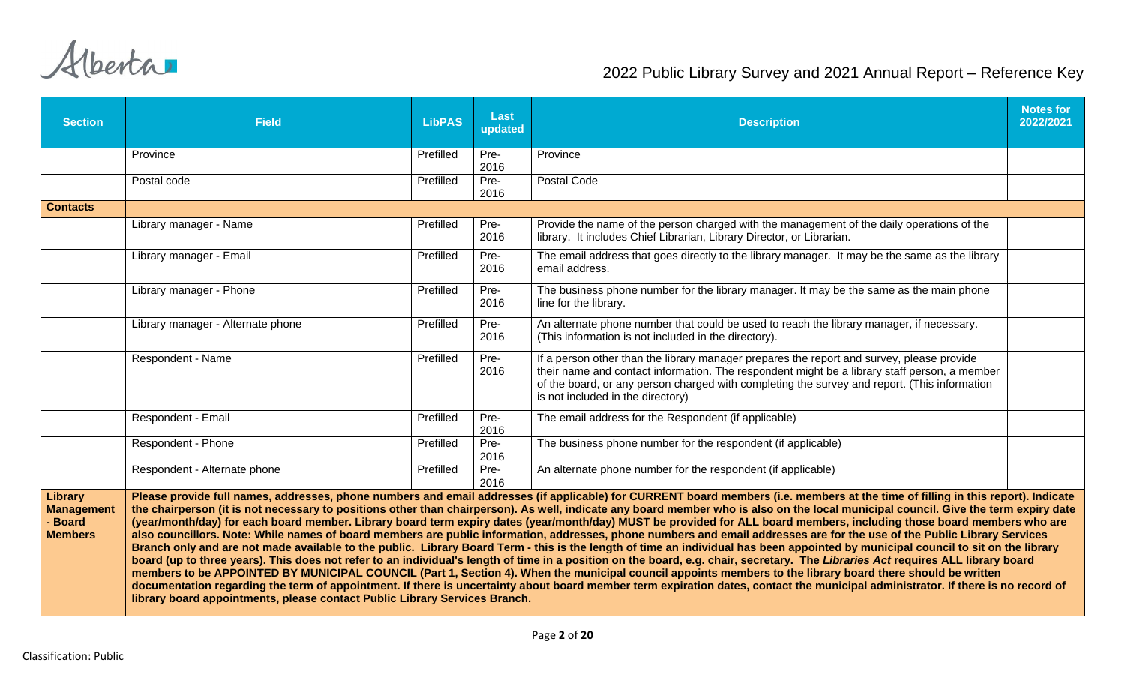| <b>Section</b>                                            | <b>Field</b>                                                                                                                                                                                                                                                                                                                                                                                                                                                                                                                                                                                                                                                                                                                                                                                                                                                                                                                                                                                                                                                                                                                                                                                                                                                                                                                                                                                                                                                                                                                           | <b>LibPAS</b> | <b>Last</b><br>updated | <b>Description</b>                                                                                                                                                                                                                                                                                                             | <b>Notes for</b><br>2022/2021 |  |  |  |
|-----------------------------------------------------------|----------------------------------------------------------------------------------------------------------------------------------------------------------------------------------------------------------------------------------------------------------------------------------------------------------------------------------------------------------------------------------------------------------------------------------------------------------------------------------------------------------------------------------------------------------------------------------------------------------------------------------------------------------------------------------------------------------------------------------------------------------------------------------------------------------------------------------------------------------------------------------------------------------------------------------------------------------------------------------------------------------------------------------------------------------------------------------------------------------------------------------------------------------------------------------------------------------------------------------------------------------------------------------------------------------------------------------------------------------------------------------------------------------------------------------------------------------------------------------------------------------------------------------------|---------------|------------------------|--------------------------------------------------------------------------------------------------------------------------------------------------------------------------------------------------------------------------------------------------------------------------------------------------------------------------------|-------------------------------|--|--|--|
|                                                           | Province                                                                                                                                                                                                                                                                                                                                                                                                                                                                                                                                                                                                                                                                                                                                                                                                                                                                                                                                                                                                                                                                                                                                                                                                                                                                                                                                                                                                                                                                                                                               | Prefilled     | Pre-<br>2016           | Province                                                                                                                                                                                                                                                                                                                       |                               |  |  |  |
|                                                           | Postal code                                                                                                                                                                                                                                                                                                                                                                                                                                                                                                                                                                                                                                                                                                                                                                                                                                                                                                                                                                                                                                                                                                                                                                                                                                                                                                                                                                                                                                                                                                                            | Prefilled     | Pre-<br>2016           | Postal Code                                                                                                                                                                                                                                                                                                                    |                               |  |  |  |
| <b>Contacts</b>                                           |                                                                                                                                                                                                                                                                                                                                                                                                                                                                                                                                                                                                                                                                                                                                                                                                                                                                                                                                                                                                                                                                                                                                                                                                                                                                                                                                                                                                                                                                                                                                        |               |                        |                                                                                                                                                                                                                                                                                                                                |                               |  |  |  |
|                                                           | Library manager - Name                                                                                                                                                                                                                                                                                                                                                                                                                                                                                                                                                                                                                                                                                                                                                                                                                                                                                                                                                                                                                                                                                                                                                                                                                                                                                                                                                                                                                                                                                                                 | Prefilled     | Pre-<br>2016           | Provide the name of the person charged with the management of the daily operations of the<br>library. It includes Chief Librarian, Library Director, or Librarian.                                                                                                                                                             |                               |  |  |  |
|                                                           | Library manager - Email                                                                                                                                                                                                                                                                                                                                                                                                                                                                                                                                                                                                                                                                                                                                                                                                                                                                                                                                                                                                                                                                                                                                                                                                                                                                                                                                                                                                                                                                                                                | Prefilled     | Pre-<br>2016           | The email address that goes directly to the library manager. It may be the same as the library<br>email address.                                                                                                                                                                                                               |                               |  |  |  |
|                                                           | Library manager - Phone                                                                                                                                                                                                                                                                                                                                                                                                                                                                                                                                                                                                                                                                                                                                                                                                                                                                                                                                                                                                                                                                                                                                                                                                                                                                                                                                                                                                                                                                                                                | Prefilled     | Pre-<br>2016           | The business phone number for the library manager. It may be the same as the main phone<br>line for the library.                                                                                                                                                                                                               |                               |  |  |  |
|                                                           | Library manager - Alternate phone                                                                                                                                                                                                                                                                                                                                                                                                                                                                                                                                                                                                                                                                                                                                                                                                                                                                                                                                                                                                                                                                                                                                                                                                                                                                                                                                                                                                                                                                                                      | Prefilled     | Pre-<br>2016           | An alternate phone number that could be used to reach the library manager, if necessary.<br>(This information is not included in the directory).                                                                                                                                                                               |                               |  |  |  |
|                                                           | Respondent - Name                                                                                                                                                                                                                                                                                                                                                                                                                                                                                                                                                                                                                                                                                                                                                                                                                                                                                                                                                                                                                                                                                                                                                                                                                                                                                                                                                                                                                                                                                                                      | Prefilled     | Pre-<br>2016           | If a person other than the library manager prepares the report and survey, please provide<br>their name and contact information. The respondent might be a library staff person, a member<br>of the board, or any person charged with completing the survey and report. (This information<br>is not included in the directory) |                               |  |  |  |
|                                                           | Respondent - Email                                                                                                                                                                                                                                                                                                                                                                                                                                                                                                                                                                                                                                                                                                                                                                                                                                                                                                                                                                                                                                                                                                                                                                                                                                                                                                                                                                                                                                                                                                                     | Prefilled     | Pre-<br>2016           | The email address for the Respondent (if applicable)                                                                                                                                                                                                                                                                           |                               |  |  |  |
|                                                           | Respondent - Phone                                                                                                                                                                                                                                                                                                                                                                                                                                                                                                                                                                                                                                                                                                                                                                                                                                                                                                                                                                                                                                                                                                                                                                                                                                                                                                                                                                                                                                                                                                                     | Prefilled     | Pre-<br>2016           | The business phone number for the respondent (if applicable)                                                                                                                                                                                                                                                                   |                               |  |  |  |
|                                                           | Respondent - Alternate phone                                                                                                                                                                                                                                                                                                                                                                                                                                                                                                                                                                                                                                                                                                                                                                                                                                                                                                                                                                                                                                                                                                                                                                                                                                                                                                                                                                                                                                                                                                           | Prefilled     | Pre-<br>2016           | An alternate phone number for the respondent (if applicable)                                                                                                                                                                                                                                                                   |                               |  |  |  |
| <b>Library</b><br>Management<br>- Board<br><b>Members</b> | Please provide full names, addresses, phone numbers and email addresses (if applicable) for CURRENT board members (i.e. members at the time of filling in this report). Indicate<br>the chairperson (it is not necessary to positions other than chairperson). As well, indicate any board member who is also on the local municipal council. Give the term expiry date<br>(year/month/day) for each board member. Library board term expiry dates (year/month/day) MUST be provided for ALL board members, including those board members who are<br>also councillors. Note: While names of board members are public information, addresses, phone numbers and email addresses are for the use of the Public Library Services<br>Branch only and are not made available to the public. Library Board Term - this is the length of time an individual has been appointed by municipal council to sit on the library<br>board (up to three years). This does not refer to an individual's length of time in a position on the board, e.g. chair, secretary. The Libraries Act requires ALL library board<br>members to be APPOINTED BY MUNICIPAL COUNCIL (Part 1, Section 4). When the municipal council appoints members to the library board there should be written<br>documentation regarding the term of appointment. If there is uncertainty about board member term expiration dates, contact the municipal administrator. If there is no record of<br>library board appointments, please contact Public Library Services Branch. |               |                        |                                                                                                                                                                                                                                                                                                                                |                               |  |  |  |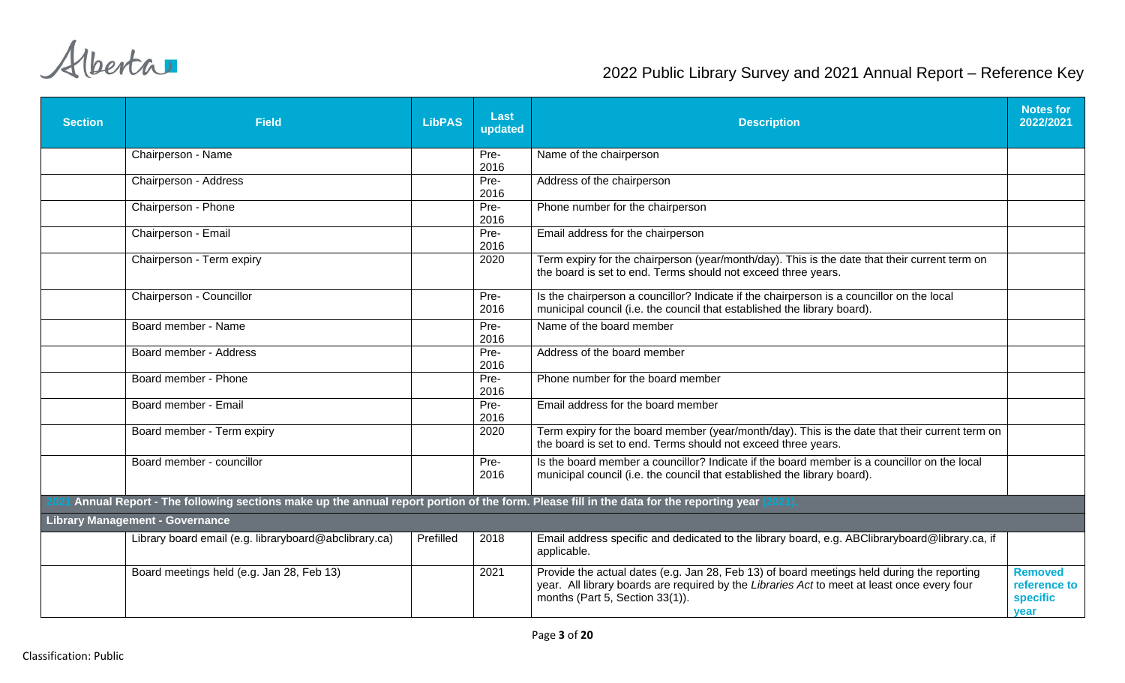| <b>Section</b> | <b>Field</b>                                                                                                                         | <b>LibPAS</b> | <b>Last</b><br>updated | <b>Description</b>                                                                                                                                                                                                           | <b>Notes for</b><br>2022/2021                             |
|----------------|--------------------------------------------------------------------------------------------------------------------------------------|---------------|------------------------|------------------------------------------------------------------------------------------------------------------------------------------------------------------------------------------------------------------------------|-----------------------------------------------------------|
|                | Chairperson - Name                                                                                                                   |               | Pre-<br>2016           | Name of the chairperson                                                                                                                                                                                                      |                                                           |
|                | Chairperson - Address                                                                                                                |               | Pre-<br>2016           | Address of the chairperson                                                                                                                                                                                                   |                                                           |
|                | Chairperson - Phone                                                                                                                  |               | Pre-<br>2016           | Phone number for the chairperson                                                                                                                                                                                             |                                                           |
|                | Chairperson - Email                                                                                                                  |               | Pre-<br>2016           | Email address for the chairperson                                                                                                                                                                                            |                                                           |
|                | Chairperson - Term expiry                                                                                                            |               | 2020                   | Term expiry for the chairperson (year/month/day). This is the date that their current term on<br>the board is set to end. Terms should not exceed three years.                                                               |                                                           |
|                | Chairperson - Councillor                                                                                                             |               | Pre-<br>2016           | Is the chairperson a councillor? Indicate if the chairperson is a councillor on the local<br>municipal council (i.e. the council that established the library board).                                                        |                                                           |
|                | Board member - Name                                                                                                                  |               | Pre-<br>2016           | Name of the board member                                                                                                                                                                                                     |                                                           |
|                | Board member - Address                                                                                                               |               | Pre-<br>2016           | Address of the board member                                                                                                                                                                                                  |                                                           |
|                | Board member - Phone                                                                                                                 |               | Pre-<br>2016           | Phone number for the board member                                                                                                                                                                                            |                                                           |
|                | Board member - Email                                                                                                                 |               | Pre-<br>2016           | Email address for the board member                                                                                                                                                                                           |                                                           |
|                | Board member - Term expiry                                                                                                           |               | 2020                   | Term expiry for the board member (year/month/day). This is the date that their current term on<br>the board is set to end. Terms should not exceed three years.                                                              |                                                           |
|                | Board member - councillor                                                                                                            |               | Pre-<br>2016           | Is the board member a councillor? Indicate if the board member is a councillor on the local<br>municipal council (i.e. the council that established the library board).                                                      |                                                           |
|                | Annual Report - The following sections make up the annual report portion of the form. Please fill in the data for the reporting year |               |                        |                                                                                                                                                                                                                              |                                                           |
|                | <b>Library Management - Governance</b>                                                                                               |               |                        |                                                                                                                                                                                                                              |                                                           |
|                | Library board email (e.g. libraryboard@abclibrary.ca)                                                                                | Prefilled     | 2018                   | Email address specific and dedicated to the library board, e.g. ABClibraryboard@library.ca, if<br>applicable.                                                                                                                |                                                           |
|                | Board meetings held (e.g. Jan 28, Feb 13)                                                                                            |               | 2021                   | Provide the actual dates (e.g. Jan 28, Feb 13) of board meetings held during the reporting<br>year. All library boards are required by the Libraries Act to meet at least once every four<br>months (Part 5, Section 33(1)). | <b>Removed</b><br>reference to<br><b>specific</b><br>year |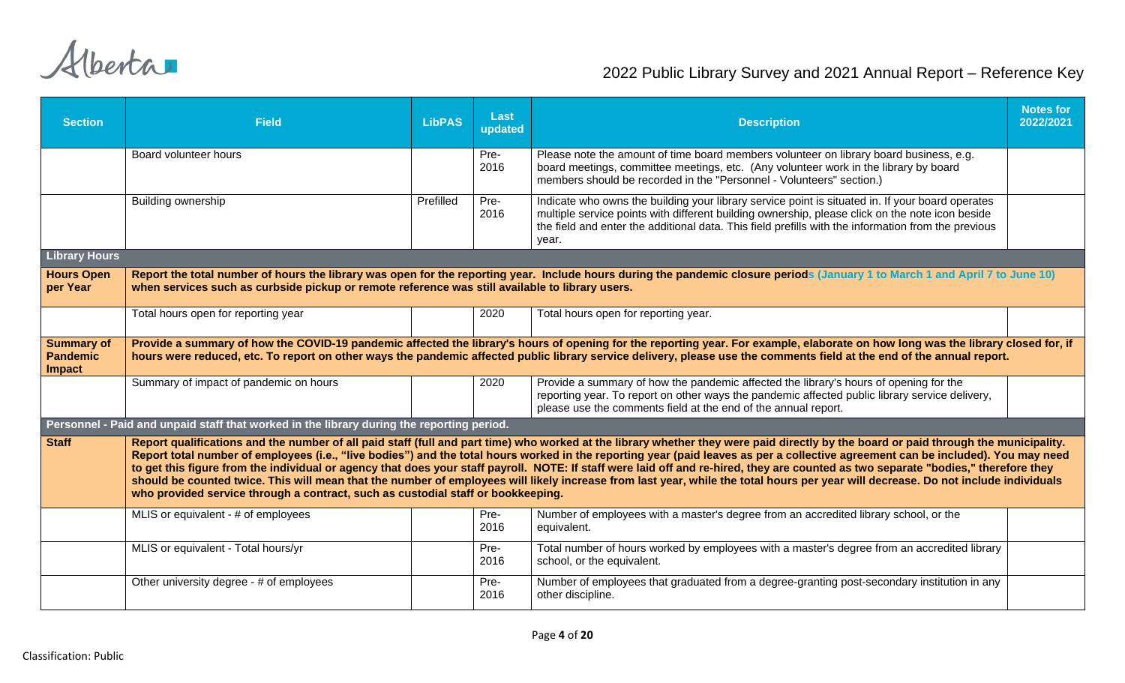| <b>Section</b>                                        | <b>Field</b>                                                                                                                                                                                                                                                                                                                                                                                                                                                                                                                                                                                                                                                                                                                                                                                                                               | <b>LibPAS</b> | Last<br>updated | <b>Description</b>                                                                                                                                                                                                                                                                                                                                         | <b>Notes for</b><br>2022/2021 |  |  |  |  |
|-------------------------------------------------------|--------------------------------------------------------------------------------------------------------------------------------------------------------------------------------------------------------------------------------------------------------------------------------------------------------------------------------------------------------------------------------------------------------------------------------------------------------------------------------------------------------------------------------------------------------------------------------------------------------------------------------------------------------------------------------------------------------------------------------------------------------------------------------------------------------------------------------------------|---------------|-----------------|------------------------------------------------------------------------------------------------------------------------------------------------------------------------------------------------------------------------------------------------------------------------------------------------------------------------------------------------------------|-------------------------------|--|--|--|--|
|                                                       | Board volunteer hours                                                                                                                                                                                                                                                                                                                                                                                                                                                                                                                                                                                                                                                                                                                                                                                                                      |               | Pre-<br>2016    | Please note the amount of time board members volunteer on library board business, e.g.<br>board meetings, committee meetings, etc. (Any volunteer work in the library by board<br>members should be recorded in the "Personnel - Volunteers" section.)                                                                                                     |                               |  |  |  |  |
|                                                       | <b>Building ownership</b>                                                                                                                                                                                                                                                                                                                                                                                                                                                                                                                                                                                                                                                                                                                                                                                                                  | Prefilled     | Pre-<br>2016    | Indicate who owns the building your library service point is situated in. If your board operates<br>multiple service points with different building ownership, please click on the note icon beside<br>the field and enter the additional data. This field prefills with the information from the previous<br>year.                                        |                               |  |  |  |  |
| <b>Library Hours</b>                                  |                                                                                                                                                                                                                                                                                                                                                                                                                                                                                                                                                                                                                                                                                                                                                                                                                                            |               |                 |                                                                                                                                                                                                                                                                                                                                                            |                               |  |  |  |  |
| <b>Hours Open</b><br>per Year                         | Report the total number of hours the library was open for the reporting year. Include hours during the pandemic closure periods (January 1 to March 1 and April 7 to June 10)<br>when services such as curbside pickup or remote reference was still available to library users.                                                                                                                                                                                                                                                                                                                                                                                                                                                                                                                                                           |               |                 |                                                                                                                                                                                                                                                                                                                                                            |                               |  |  |  |  |
|                                                       | Total hours open for reporting year                                                                                                                                                                                                                                                                                                                                                                                                                                                                                                                                                                                                                                                                                                                                                                                                        |               | 2020            | Total hours open for reporting year.                                                                                                                                                                                                                                                                                                                       |                               |  |  |  |  |
| <b>Summary of</b><br><b>Pandemic</b><br><b>Impact</b> |                                                                                                                                                                                                                                                                                                                                                                                                                                                                                                                                                                                                                                                                                                                                                                                                                                            |               |                 | Provide a summary of how the COVID-19 pandemic affected the library's hours of opening for the reporting year. For example, elaborate on how long was the library closed for, if<br>hours were reduced, etc. To report on other ways the pandemic affected public library service delivery, please use the comments field at the end of the annual report. |                               |  |  |  |  |
|                                                       | Summary of impact of pandemic on hours                                                                                                                                                                                                                                                                                                                                                                                                                                                                                                                                                                                                                                                                                                                                                                                                     |               | 2020            | Provide a summary of how the pandemic affected the library's hours of opening for the<br>reporting year. To report on other ways the pandemic affected public library service delivery,<br>please use the comments field at the end of the annual report.                                                                                                  |                               |  |  |  |  |
|                                                       | Personnel - Paid and unpaid staff that worked in the library during the reporting period.                                                                                                                                                                                                                                                                                                                                                                                                                                                                                                                                                                                                                                                                                                                                                  |               |                 |                                                                                                                                                                                                                                                                                                                                                            |                               |  |  |  |  |
| <b>Staff</b>                                          | Report qualifications and the number of all paid staff (full and part time) who worked at the library whether they were paid directly by the board or paid through the municipality.<br>Report total number of employees (i.e., "live bodies") and the total hours worked in the reporting year (paid leaves as per a collective agreement can be included). You may need<br>to get this figure from the individual or agency that does your staff payroll. NOTE: If staff were laid off and re-hired, they are counted as two separate "bodies," therefore they<br>should be counted twice. This will mean that the number of employees will likely increase from last year, while the total hours per year will decrease. Do not include individuals<br>who provided service through a contract, such as custodial staff or bookkeeping. |               |                 |                                                                                                                                                                                                                                                                                                                                                            |                               |  |  |  |  |
|                                                       | MLIS or equivalent - # of employees                                                                                                                                                                                                                                                                                                                                                                                                                                                                                                                                                                                                                                                                                                                                                                                                        |               | Pre-<br>2016    | Number of employees with a master's degree from an accredited library school, or the<br>equivalent.                                                                                                                                                                                                                                                        |                               |  |  |  |  |
|                                                       | MLIS or equivalent - Total hours/yr                                                                                                                                                                                                                                                                                                                                                                                                                                                                                                                                                                                                                                                                                                                                                                                                        |               | Pre-<br>2016    | Total number of hours worked by employees with a master's degree from an accredited library<br>school, or the equivalent.                                                                                                                                                                                                                                  |                               |  |  |  |  |
|                                                       | Other university degree - # of employees                                                                                                                                                                                                                                                                                                                                                                                                                                                                                                                                                                                                                                                                                                                                                                                                   |               | Pre-<br>2016    | Number of employees that graduated from a degree-granting post-secondary institution in any<br>other discipline.                                                                                                                                                                                                                                           |                               |  |  |  |  |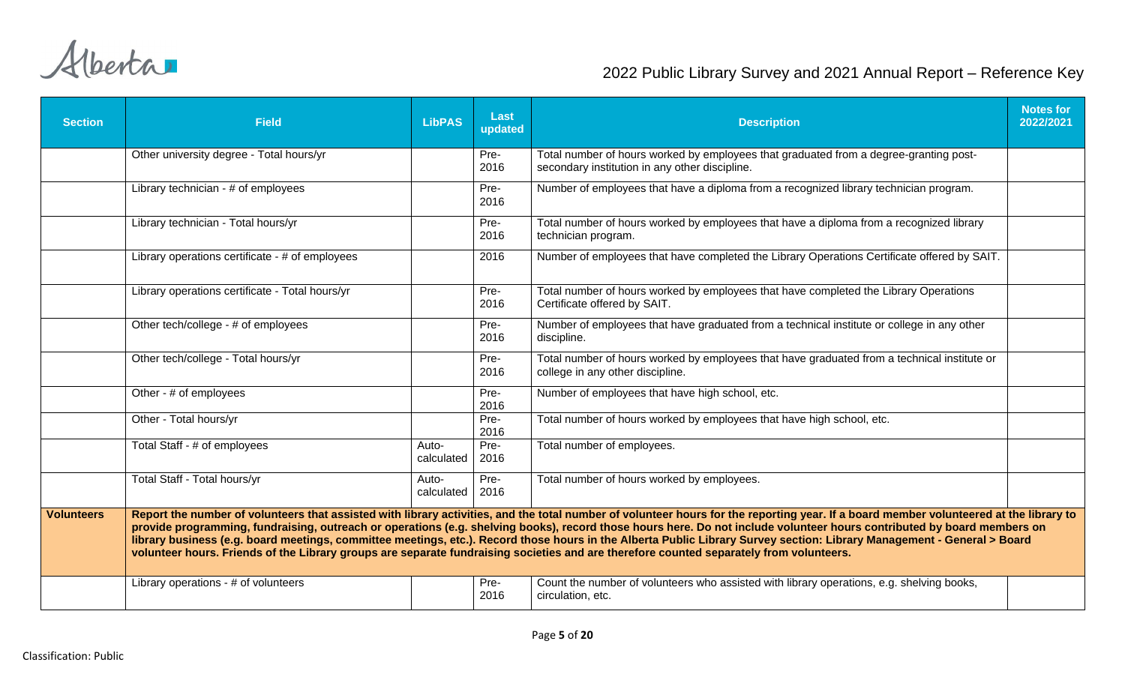| <b>Section</b>    | <b>Field</b>                                                                                                                                                                                                                                                                                                                                                                                                                                                                                                                                                                                                                                                                            | <b>LibPAS</b>       | Last<br>updated | <b>Description</b>                                                                                                                      | <b>Notes for</b><br>2022/2021 |  |  |  |  |
|-------------------|-----------------------------------------------------------------------------------------------------------------------------------------------------------------------------------------------------------------------------------------------------------------------------------------------------------------------------------------------------------------------------------------------------------------------------------------------------------------------------------------------------------------------------------------------------------------------------------------------------------------------------------------------------------------------------------------|---------------------|-----------------|-----------------------------------------------------------------------------------------------------------------------------------------|-------------------------------|--|--|--|--|
|                   | Other university degree - Total hours/yr                                                                                                                                                                                                                                                                                                                                                                                                                                                                                                                                                                                                                                                |                     | Pre-<br>2016    | Total number of hours worked by employees that graduated from a degree-granting post-<br>secondary institution in any other discipline. |                               |  |  |  |  |
|                   | Library technician - # of employees                                                                                                                                                                                                                                                                                                                                                                                                                                                                                                                                                                                                                                                     |                     | Pre-<br>2016    | Number of employees that have a diploma from a recognized library technician program.                                                   |                               |  |  |  |  |
|                   | Library technician - Total hours/yr                                                                                                                                                                                                                                                                                                                                                                                                                                                                                                                                                                                                                                                     |                     | Pre-<br>2016    | Total number of hours worked by employees that have a diploma from a recognized library<br>technician program.                          |                               |  |  |  |  |
|                   | Library operations certificate - # of employees                                                                                                                                                                                                                                                                                                                                                                                                                                                                                                                                                                                                                                         |                     | 2016            | Number of employees that have completed the Library Operations Certificate offered by SAIT.                                             |                               |  |  |  |  |
|                   | Library operations certificate - Total hours/yr                                                                                                                                                                                                                                                                                                                                                                                                                                                                                                                                                                                                                                         |                     | Pre-<br>2016    | Total number of hours worked by employees that have completed the Library Operations<br>Certificate offered by SAIT.                    |                               |  |  |  |  |
|                   | Other tech/college - # of employees                                                                                                                                                                                                                                                                                                                                                                                                                                                                                                                                                                                                                                                     |                     | Pre-<br>2016    | Number of employees that have graduated from a technical institute or college in any other<br>discipline.                               |                               |  |  |  |  |
|                   | Other tech/college - Total hours/yr                                                                                                                                                                                                                                                                                                                                                                                                                                                                                                                                                                                                                                                     |                     | Pre-<br>2016    | Total number of hours worked by employees that have graduated from a technical institute or<br>college in any other discipline.         |                               |  |  |  |  |
|                   | Other - # of employees                                                                                                                                                                                                                                                                                                                                                                                                                                                                                                                                                                                                                                                                  |                     | Pre-<br>2016    | Number of employees that have high school, etc.                                                                                         |                               |  |  |  |  |
|                   | Other - Total hours/yr                                                                                                                                                                                                                                                                                                                                                                                                                                                                                                                                                                                                                                                                  |                     | Pre-<br>2016    | Total number of hours worked by employees that have high school, etc.                                                                   |                               |  |  |  |  |
|                   | Total Staff - # of employees                                                                                                                                                                                                                                                                                                                                                                                                                                                                                                                                                                                                                                                            | Auto-<br>calculated | Pre-<br>2016    | Total number of employees.                                                                                                              |                               |  |  |  |  |
|                   | Total Staff - Total hours/yr                                                                                                                                                                                                                                                                                                                                                                                                                                                                                                                                                                                                                                                            | Auto-<br>calculated | Pre-<br>2016    | Total number of hours worked by employees.                                                                                              |                               |  |  |  |  |
| <b>Volunteers</b> | Report the number of volunteers that assisted with library activities, and the total number of volunteer hours for the reporting year. If a board member volunteered at the library to<br>provide programming, fundraising, outreach or operations (e.g. shelving books), record those hours here. Do not include volunteer hours contributed by board members on<br>library business (e.g. board meetings, committee meetings, etc.). Record those hours in the Alberta Public Library Survey section: Library Management - General > Board<br>volunteer hours. Friends of the Library groups are separate fundraising societies and are therefore counted separately from volunteers. |                     |                 |                                                                                                                                         |                               |  |  |  |  |
|                   | Library operations - # of volunteers                                                                                                                                                                                                                                                                                                                                                                                                                                                                                                                                                                                                                                                    |                     | Pre-<br>2016    | Count the number of volunteers who assisted with library operations, e.g. shelving books,<br>circulation, etc.                          |                               |  |  |  |  |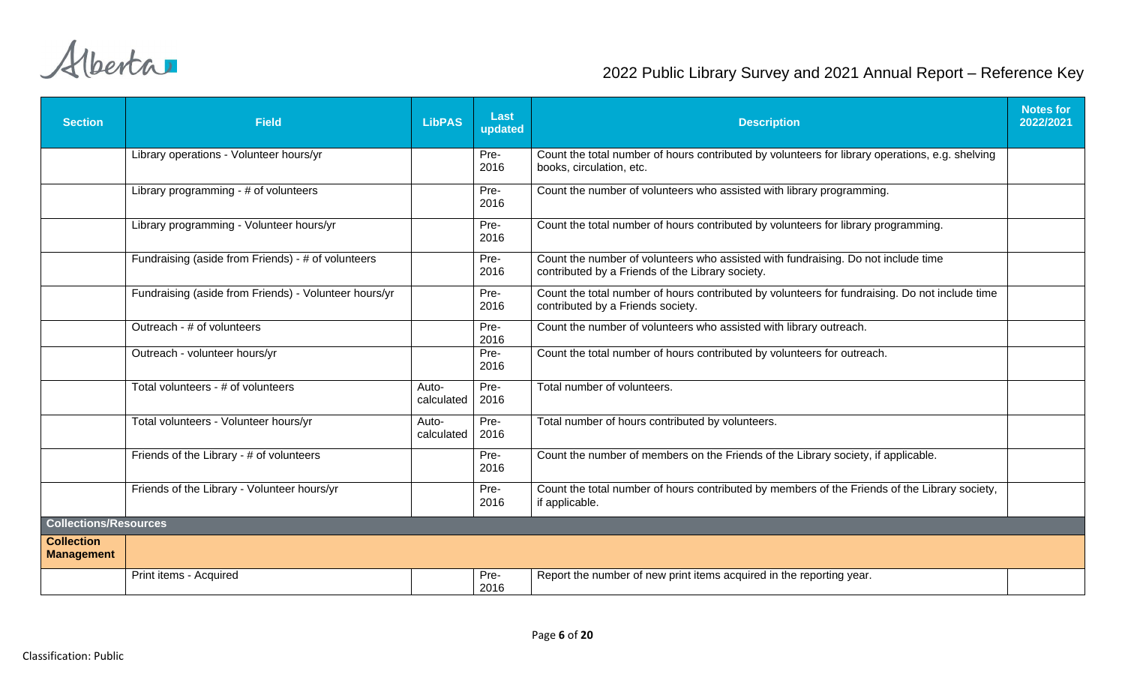| <b>Section</b>                         | <b>Field</b>                                          | <b>LibPAS</b>       | Last<br>updated | <b>Description</b>                                                                                                                    | <b>Notes for</b><br>2022/2021 |
|----------------------------------------|-------------------------------------------------------|---------------------|-----------------|---------------------------------------------------------------------------------------------------------------------------------------|-------------------------------|
|                                        | Library operations - Volunteer hours/yr               |                     | Pre-<br>2016    | Count the total number of hours contributed by volunteers for library operations, e.g. shelving<br>books, circulation, etc.           |                               |
|                                        | Library programming - # of volunteers                 |                     | Pre-<br>2016    | Count the number of volunteers who assisted with library programming.                                                                 |                               |
|                                        | Library programming - Volunteer hours/yr              |                     | Pre-<br>2016    | Count the total number of hours contributed by volunteers for library programming.                                                    |                               |
|                                        | Fundraising (aside from Friends) - # of volunteers    |                     | Pre-<br>2016    | Count the number of volunteers who assisted with fundraising. Do not include time<br>contributed by a Friends of the Library society. |                               |
|                                        | Fundraising (aside from Friends) - Volunteer hours/yr |                     | Pre-<br>2016    | Count the total number of hours contributed by volunteers for fundraising. Do not include time<br>contributed by a Friends society.   |                               |
|                                        | Outreach - # of volunteers                            |                     | Pre-<br>2016    | Count the number of volunteers who assisted with library outreach.                                                                    |                               |
|                                        | Outreach - volunteer hours/yr                         |                     | Pre-<br>2016    | Count the total number of hours contributed by volunteers for outreach.                                                               |                               |
|                                        | Total volunteers - # of volunteers                    | Auto-<br>calculated | Pre-<br>2016    | Total number of volunteers.                                                                                                           |                               |
|                                        | Total volunteers - Volunteer hours/yr                 | Auto-<br>calculated | Pre-<br>2016    | Total number of hours contributed by volunteers.                                                                                      |                               |
|                                        | Friends of the Library - # of volunteers              |                     | Pre-<br>2016    | Count the number of members on the Friends of the Library society, if applicable.                                                     |                               |
|                                        | Friends of the Library - Volunteer hours/yr           |                     | Pre-<br>2016    | Count the total number of hours contributed by members of the Friends of the Library society,<br>if applicable.                       |                               |
| <b>Collections/Resources</b>           |                                                       |                     |                 |                                                                                                                                       |                               |
| <b>Collection</b><br><b>Management</b> |                                                       |                     |                 |                                                                                                                                       |                               |
|                                        | Print items - Acquired                                |                     | Pre-<br>2016    | Report the number of new print items acquired in the reporting year.                                                                  |                               |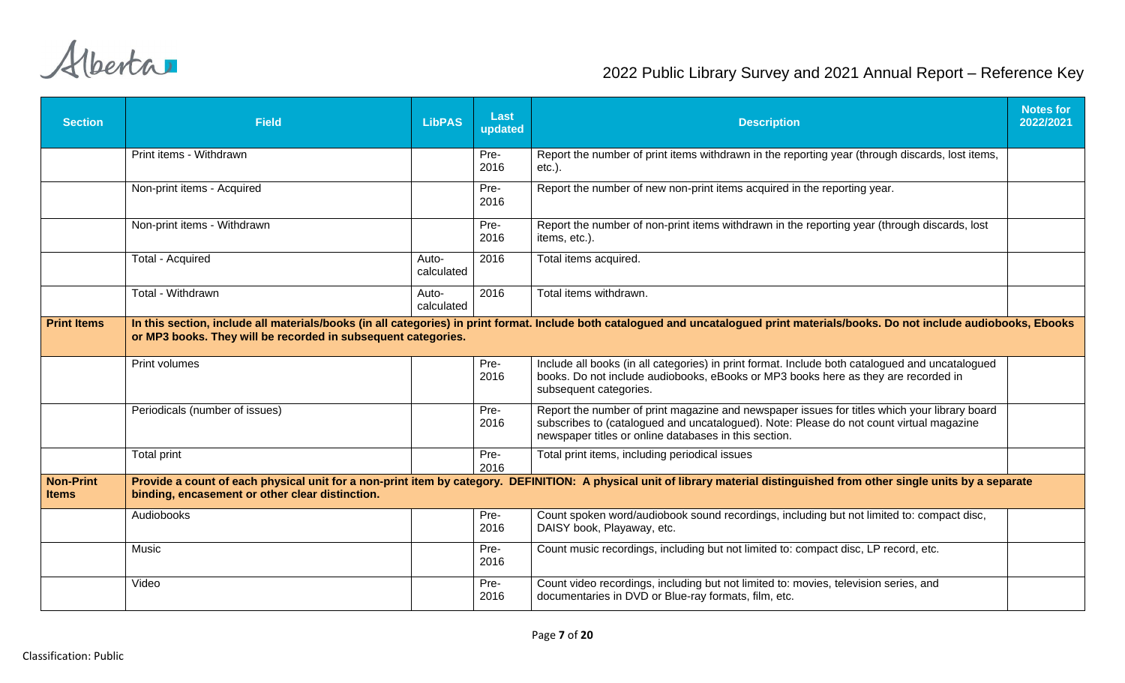| <b>Section</b>                   | <b>Field</b>                                                  | <b>LibPAS</b>       | Last<br>updated | <b>Description</b>                                                                                                                                                                                                                               | <b>Notes for</b><br>2022/2021 |
|----------------------------------|---------------------------------------------------------------|---------------------|-----------------|--------------------------------------------------------------------------------------------------------------------------------------------------------------------------------------------------------------------------------------------------|-------------------------------|
|                                  | Print items - Withdrawn                                       |                     | Pre-<br>2016    | Report the number of print items withdrawn in the reporting year (through discards, lost items,<br>$etc.$ ).                                                                                                                                     |                               |
|                                  | Non-print items - Acquired                                    |                     | Pre-<br>2016    | Report the number of new non-print items acquired in the reporting year.                                                                                                                                                                         |                               |
|                                  | Non-print items - Withdrawn                                   |                     | Pre-<br>2016    | Report the number of non-print items withdrawn in the reporting year (through discards, lost<br>items, etc.).                                                                                                                                    |                               |
|                                  | <b>Total - Acquired</b>                                       | Auto-<br>calculated | 2016            | Total items acquired.                                                                                                                                                                                                                            |                               |
|                                  | Total - Withdrawn                                             | Auto-<br>calculated | 2016            | Total items withdrawn.                                                                                                                                                                                                                           |                               |
| <b>Print Items</b>               | or MP3 books. They will be recorded in subsequent categories. |                     |                 | In this section, include all materials/books (in all categories) in print format. Include both catalogued and uncatalogued print materials/books. Do not include audiobooks, Ebooks                                                              |                               |
|                                  | Print volumes                                                 |                     | Pre-<br>2016    | Include all books (in all categories) in print format. Include both catalogued and uncatalogued<br>books. Do not include audiobooks, eBooks or MP3 books here as they are recorded in<br>subsequent categories.                                  |                               |
|                                  | Periodicals (number of issues)                                |                     | Pre-<br>2016    | Report the number of print magazine and newspaper issues for titles which your library board<br>subscribes to (catalogued and uncatalogued). Note: Please do not count virtual magazine<br>newspaper titles or online databases in this section. |                               |
|                                  | Total print                                                   |                     | Pre-<br>2016    | Total print items, including periodical issues                                                                                                                                                                                                   |                               |
| <b>Non-Print</b><br><b>Items</b> | binding, encasement or other clear distinction.               |                     |                 | Provide a count of each physical unit for a non-print item by category. DEFINITION: A physical unit of library material distinguished from other single units by a separate                                                                      |                               |
|                                  | Audiobooks                                                    |                     | Pre-<br>2016    | Count spoken word/audiobook sound recordings, including but not limited to: compact disc,<br>DAISY book, Playaway, etc.                                                                                                                          |                               |
|                                  | Music                                                         |                     | Pre-<br>2016    | Count music recordings, including but not limited to: compact disc, LP record, etc.                                                                                                                                                              |                               |
|                                  | Video                                                         |                     | Pre-<br>2016    | Count video recordings, including but not limited to: movies, television series, and<br>documentaries in DVD or Blue-ray formats, film, etc.                                                                                                     |                               |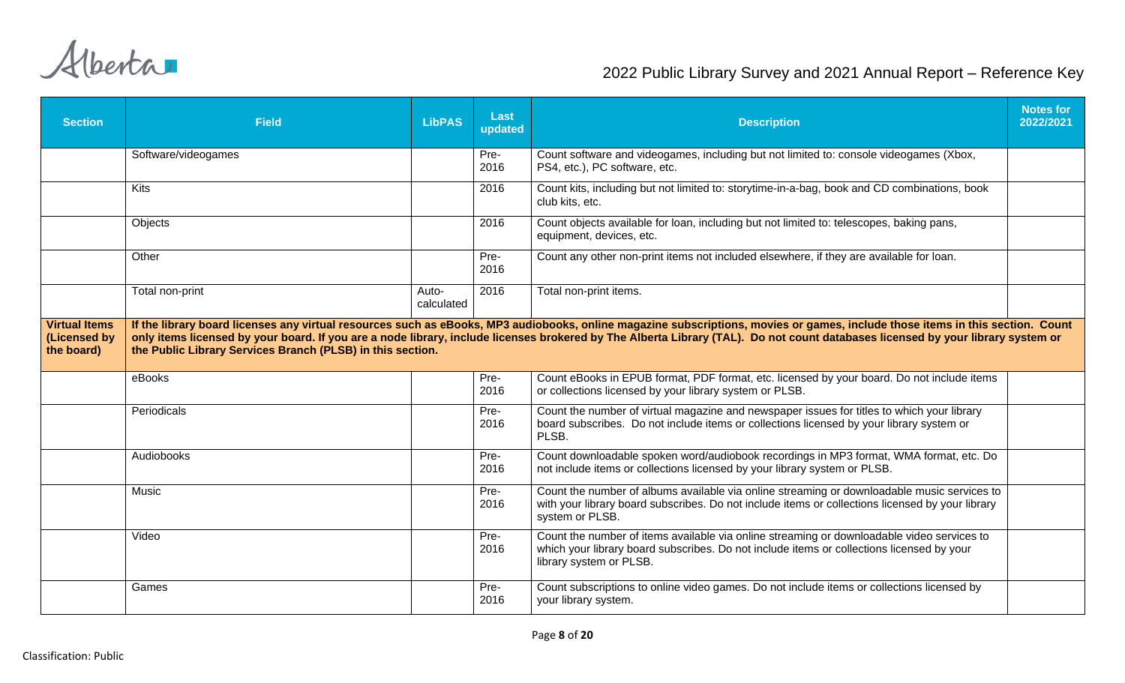| <b>Section</b>                                     | <b>Field</b>                                               | <b>LibPAS</b>       | Last<br>updated | <b>Description</b>                                                                                                                                                                                                                                                                                                                                                | <b>Notes for</b><br>2022/2021 |
|----------------------------------------------------|------------------------------------------------------------|---------------------|-----------------|-------------------------------------------------------------------------------------------------------------------------------------------------------------------------------------------------------------------------------------------------------------------------------------------------------------------------------------------------------------------|-------------------------------|
|                                                    | Software/videogames                                        |                     | Pre-<br>2016    | Count software and videogames, including but not limited to: console videogames (Xbox,<br>PS4, etc.), PC software, etc.                                                                                                                                                                                                                                           |                               |
|                                                    | <b>Kits</b>                                                |                     | 2016            | Count kits, including but not limited to: storytime-in-a-bag, book and CD combinations, book<br>club kits, etc.                                                                                                                                                                                                                                                   |                               |
|                                                    | Objects                                                    |                     | 2016            | Count objects available for loan, including but not limited to: telescopes, baking pans,<br>equipment, devices, etc.                                                                                                                                                                                                                                              |                               |
|                                                    | Other                                                      |                     | Pre-<br>2016    | Count any other non-print items not included elsewhere, if they are available for loan.                                                                                                                                                                                                                                                                           |                               |
|                                                    | Total non-print                                            | Auto-<br>calculated | 2016            | Total non-print items.                                                                                                                                                                                                                                                                                                                                            |                               |
| <b>Virtual Items</b><br>(Licensed by<br>the board) | the Public Library Services Branch (PLSB) in this section. |                     |                 | If the library board licenses any virtual resources such as eBooks, MP3 audiobooks, online magazine subscriptions, movies or games, include those items in this section. Count<br>only items licensed by your board. If you are a node library, include licenses brokered by The Alberta Library (TAL). Do not count databases licensed by your library system or |                               |
|                                                    | eBooks                                                     |                     | Pre-<br>2016    | Count eBooks in EPUB format, PDF format, etc. licensed by your board. Do not include items<br>or collections licensed by your library system or PLSB.                                                                                                                                                                                                             |                               |
|                                                    | Periodicals                                                |                     | Pre-<br>2016    | Count the number of virtual magazine and newspaper issues for titles to which your library<br>board subscribes. Do not include items or collections licensed by your library system or<br>PLSB.                                                                                                                                                                   |                               |
|                                                    | Audiobooks                                                 |                     | Pre-<br>2016    | Count downloadable spoken word/audiobook recordings in MP3 format, WMA format, etc. Do<br>not include items or collections licensed by your library system or PLSB.                                                                                                                                                                                               |                               |
|                                                    | Music                                                      |                     | Pre-<br>2016    | Count the number of albums available via online streaming or downloadable music services to<br>with your library board subscribes. Do not include items or collections licensed by your library<br>system or PLSB.                                                                                                                                                |                               |
|                                                    | Video                                                      |                     | Pre-<br>2016    | Count the number of items available via online streaming or downloadable video services to<br>which your library board subscribes. Do not include items or collections licensed by your<br>library system or PLSB.                                                                                                                                                |                               |
|                                                    | Games                                                      |                     | Pre-<br>2016    | Count subscriptions to online video games. Do not include items or collections licensed by<br>your library system.                                                                                                                                                                                                                                                |                               |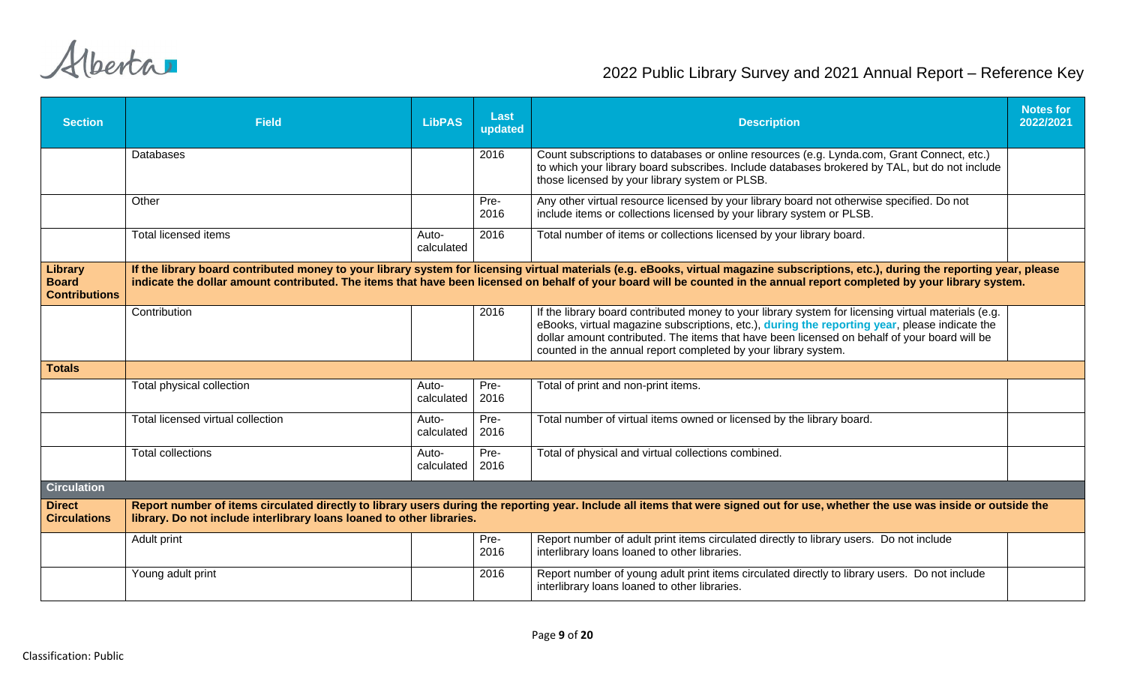| <b>Section</b>                                  | <b>Field</b>                                                          | <b>LibPAS</b>       | Last<br>updated | <b>Description</b>                                                                                                                                                                                                                                                                                                                                                     | <b>Notes for</b><br>2022/2021 |
|-------------------------------------------------|-----------------------------------------------------------------------|---------------------|-----------------|------------------------------------------------------------------------------------------------------------------------------------------------------------------------------------------------------------------------------------------------------------------------------------------------------------------------------------------------------------------------|-------------------------------|
|                                                 | Databases                                                             |                     | 2016            | Count subscriptions to databases or online resources (e.g. Lynda.com, Grant Connect, etc.)<br>to which your library board subscribes. Include databases brokered by TAL, but do not include<br>those licensed by your library system or PLSB.                                                                                                                          |                               |
|                                                 | Other                                                                 |                     | Pre-<br>2016    | Any other virtual resource licensed by your library board not otherwise specified. Do not<br>include items or collections licensed by your library system or PLSB.                                                                                                                                                                                                     |                               |
|                                                 | <b>Total licensed items</b>                                           | Auto-<br>calculated | 2016            | Total number of items or collections licensed by your library board.                                                                                                                                                                                                                                                                                                   |                               |
| Library<br><b>Board</b><br><b>Contributions</b> |                                                                       |                     |                 | If the library board contributed money to your library system for licensing virtual materials (e.g. eBooks, virtual magazine subscriptions, etc.), during the reporting year, please<br>indicate the dollar amount contributed. The items that have been licensed on behalf of your board will be counted in the annual report completed by your library system.       |                               |
|                                                 | Contribution                                                          |                     | 2016            | If the library board contributed money to your library system for licensing virtual materials (e.g.<br>eBooks, virtual magazine subscriptions, etc.), during the reporting year, please indicate the<br>dollar amount contributed. The items that have been licensed on behalf of your board will be<br>counted in the annual report completed by your library system. |                               |
| <b>Totals</b>                                   |                                                                       |                     |                 |                                                                                                                                                                                                                                                                                                                                                                        |                               |
|                                                 | Total physical collection                                             | Auto-<br>calculated | Pre-<br>2016    | Total of print and non-print items.                                                                                                                                                                                                                                                                                                                                    |                               |
|                                                 | Total licensed virtual collection                                     | Auto-<br>calculated | Pre-<br>2016    | Total number of virtual items owned or licensed by the library board.                                                                                                                                                                                                                                                                                                  |                               |
|                                                 | <b>Total collections</b>                                              | Auto-<br>calculated | Pre-<br>2016    | Total of physical and virtual collections combined.                                                                                                                                                                                                                                                                                                                    |                               |
| <b>Circulation</b>                              |                                                                       |                     |                 |                                                                                                                                                                                                                                                                                                                                                                        |                               |
| <b>Direct</b><br><b>Circulations</b>            | library. Do not include interlibrary loans loaned to other libraries. |                     |                 | Report number of items circulated directly to library users during the reporting year. Include all items that were signed out for use, whether the use was inside or outside the                                                                                                                                                                                       |                               |
|                                                 | Adult print                                                           |                     | Pre-<br>2016    | Report number of adult print items circulated directly to library users. Do not include<br>interlibrary loans loaned to other libraries.                                                                                                                                                                                                                               |                               |
|                                                 | Young adult print                                                     |                     | 2016            | Report number of young adult print items circulated directly to library users. Do not include<br>interlibrary loans loaned to other libraries.                                                                                                                                                                                                                         |                               |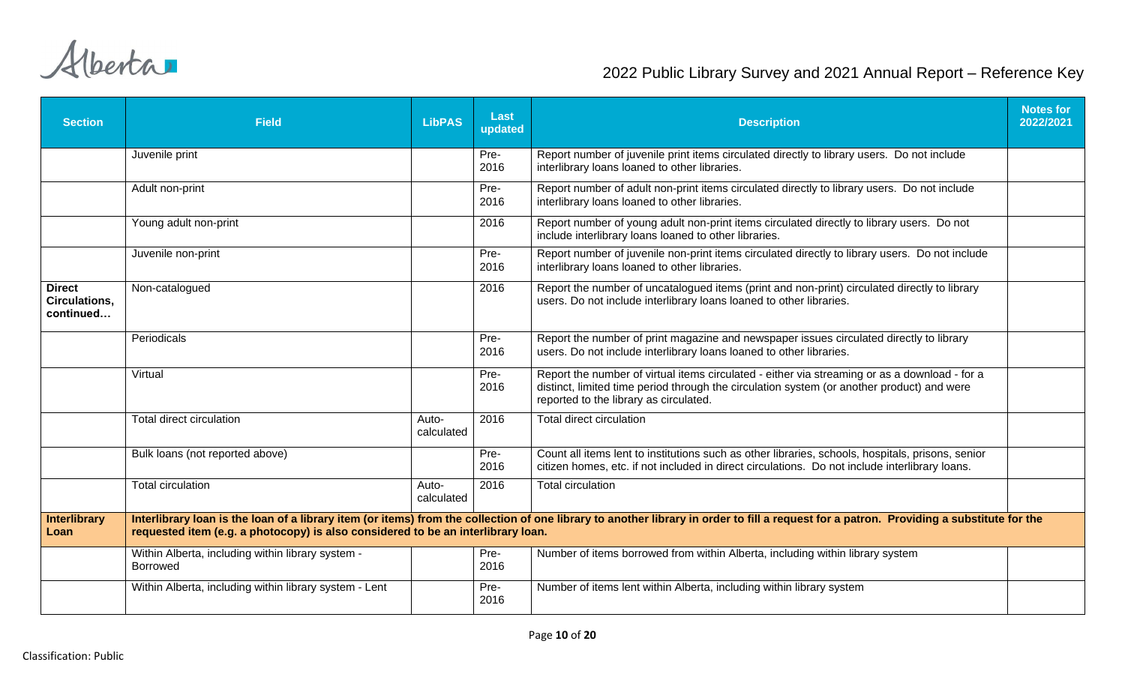| <b>Section</b>                                     | <b>Field</b>                                                                     | <b>LibPAS</b>       | Last<br>updated | <b>Description</b>                                                                                                                                                                                                                    | <b>Notes for</b><br>2022/2021 |
|----------------------------------------------------|----------------------------------------------------------------------------------|---------------------|-----------------|---------------------------------------------------------------------------------------------------------------------------------------------------------------------------------------------------------------------------------------|-------------------------------|
|                                                    | Juvenile print                                                                   |                     | Pre-<br>2016    | Report number of juvenile print items circulated directly to library users. Do not include<br>interlibrary loans loaned to other libraries.                                                                                           |                               |
|                                                    | Adult non-print                                                                  |                     | Pre-<br>2016    | Report number of adult non-print items circulated directly to library users. Do not include<br>interlibrary loans loaned to other libraries.                                                                                          |                               |
|                                                    | Young adult non-print                                                            |                     | 2016            | Report number of young adult non-print items circulated directly to library users. Do not<br>include interlibrary loans loaned to other libraries.                                                                                    |                               |
|                                                    | Juvenile non-print                                                               |                     | Pre-<br>2016    | Report number of juvenile non-print items circulated directly to library users. Do not include<br>interlibrary loans loaned to other libraries.                                                                                       |                               |
| <b>Direct</b><br><b>Circulations,</b><br>continued | Non-catalogued                                                                   |                     | 2016            | Report the number of uncatalogued items (print and non-print) circulated directly to library<br>users. Do not include interlibrary loans loaned to other libraries.                                                                   |                               |
|                                                    | Periodicals                                                                      |                     | Pre-<br>2016    | Report the number of print magazine and newspaper issues circulated directly to library<br>users. Do not include interlibrary loans loaned to other libraries.                                                                        |                               |
|                                                    | Virtual                                                                          |                     | Pre-<br>2016    | Report the number of virtual items circulated - either via streaming or as a download - for a<br>distinct, limited time period through the circulation system (or another product) and were<br>reported to the library as circulated. |                               |
|                                                    | Total direct circulation                                                         | Auto-<br>calculated | 2016            | <b>Total direct circulation</b>                                                                                                                                                                                                       |                               |
|                                                    | Bulk loans (not reported above)                                                  |                     | Pre-<br>2016    | Count all items lent to institutions such as other libraries, schools, hospitals, prisons, senior<br>citizen homes, etc. if not included in direct circulations. Do not include interlibrary loans.                                   |                               |
|                                                    | <b>Total circulation</b>                                                         | Auto-<br>calculated | 2016            | Total circulation                                                                                                                                                                                                                     |                               |
| <b>Interlibrary</b><br>Loan                        | requested item (e.g. a photocopy) is also considered to be an interlibrary loan. |                     |                 | Interlibrary loan is the loan of a library item (or items) from the collection of one library to another library in order to fill a request for a patron. Providing a substitute for the                                              |                               |
|                                                    | Within Alberta, including within library system -<br>Borrowed                    |                     | Pre-<br>2016    | Number of items borrowed from within Alberta, including within library system                                                                                                                                                         |                               |
|                                                    | Within Alberta, including within library system - Lent                           |                     | Pre-<br>2016    | Number of items lent within Alberta, including within library system                                                                                                                                                                  |                               |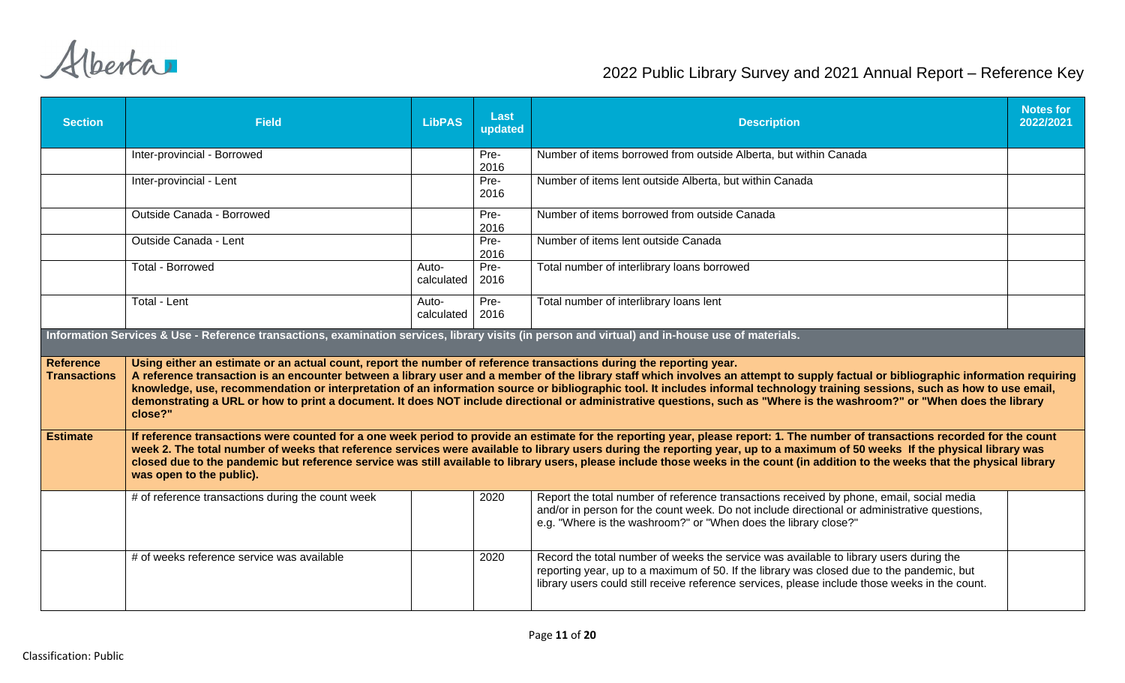| <b>Section</b>                          | <b>Field</b>                                                                                                                                     | <b>LibPAS</b>       | Last<br>updated | <b>Description</b>                                                                                                                                                                                                                                                                                                                                                                                                                                                                                                                                    | <b>Notes for</b><br>2022/2021 |
|-----------------------------------------|--------------------------------------------------------------------------------------------------------------------------------------------------|---------------------|-----------------|-------------------------------------------------------------------------------------------------------------------------------------------------------------------------------------------------------------------------------------------------------------------------------------------------------------------------------------------------------------------------------------------------------------------------------------------------------------------------------------------------------------------------------------------------------|-------------------------------|
|                                         | Inter-provincial - Borrowed                                                                                                                      |                     | Pre-<br>2016    | Number of items borrowed from outside Alberta, but within Canada                                                                                                                                                                                                                                                                                                                                                                                                                                                                                      |                               |
|                                         | Inter-provincial - Lent                                                                                                                          |                     | Pre-<br>2016    | Number of items lent outside Alberta, but within Canada                                                                                                                                                                                                                                                                                                                                                                                                                                                                                               |                               |
|                                         | Outside Canada - Borrowed                                                                                                                        |                     | Pre-<br>2016    | Number of items borrowed from outside Canada                                                                                                                                                                                                                                                                                                                                                                                                                                                                                                          |                               |
|                                         | Outside Canada - Lent                                                                                                                            |                     | Pre-<br>2016    | Number of items lent outside Canada                                                                                                                                                                                                                                                                                                                                                                                                                                                                                                                   |                               |
|                                         | <b>Total - Borrowed</b>                                                                                                                          | Auto-<br>calculated | Pre-<br>2016    | Total number of interlibrary loans borrowed                                                                                                                                                                                                                                                                                                                                                                                                                                                                                                           |                               |
|                                         | Total - Lent                                                                                                                                     | Auto-<br>calculated | Pre-<br>2016    | Total number of interlibrary loans lent                                                                                                                                                                                                                                                                                                                                                                                                                                                                                                               |                               |
|                                         | Information Services & Use - Reference transactions, examination services, library visits (in person and virtual) and in-house use of materials. |                     |                 |                                                                                                                                                                                                                                                                                                                                                                                                                                                                                                                                                       |                               |
| <b>Reference</b><br><b>Transactions</b> | Using either an estimate or an actual count, report the number of reference transactions during the reporting year.<br>close?"                   |                     |                 | A reference transaction is an encounter between a library user and a member of the library staff which involves an attempt to supply factual or bibliographic information requiring<br>knowledge, use, recommendation or interpretation of an information source or bibliographic tool. It includes informal technology training sessions, such as how to use email,<br>demonstrating a URL or how to print a document. It does NOT include directional or administrative questions, such as "Where is the washroom?" or "When does the library       |                               |
| <b>Estimate</b>                         | was open to the public).                                                                                                                         |                     |                 | If reference transactions were counted for a one week period to provide an estimate for the reporting year, please report: 1. The number of transactions recorded for the count<br>week 2. The total number of weeks that reference services were available to library users during the reporting year, up to a maximum of 50 weeks If the physical library was<br>closed due to the pandemic but reference service was still available to library users, please include those weeks in the count (in addition to the weeks that the physical library |                               |
|                                         | # of reference transactions during the count week                                                                                                |                     | 2020            | Report the total number of reference transactions received by phone, email, social media<br>and/or in person for the count week. Do not include directional or administrative questions,<br>e.g. "Where is the washroom?" or "When does the library close?"                                                                                                                                                                                                                                                                                           |                               |
|                                         | # of weeks reference service was available                                                                                                       |                     | 2020            | Record the total number of weeks the service was available to library users during the<br>reporting year, up to a maximum of 50. If the library was closed due to the pandemic, but<br>library users could still receive reference services, please include those weeks in the count.                                                                                                                                                                                                                                                                 |                               |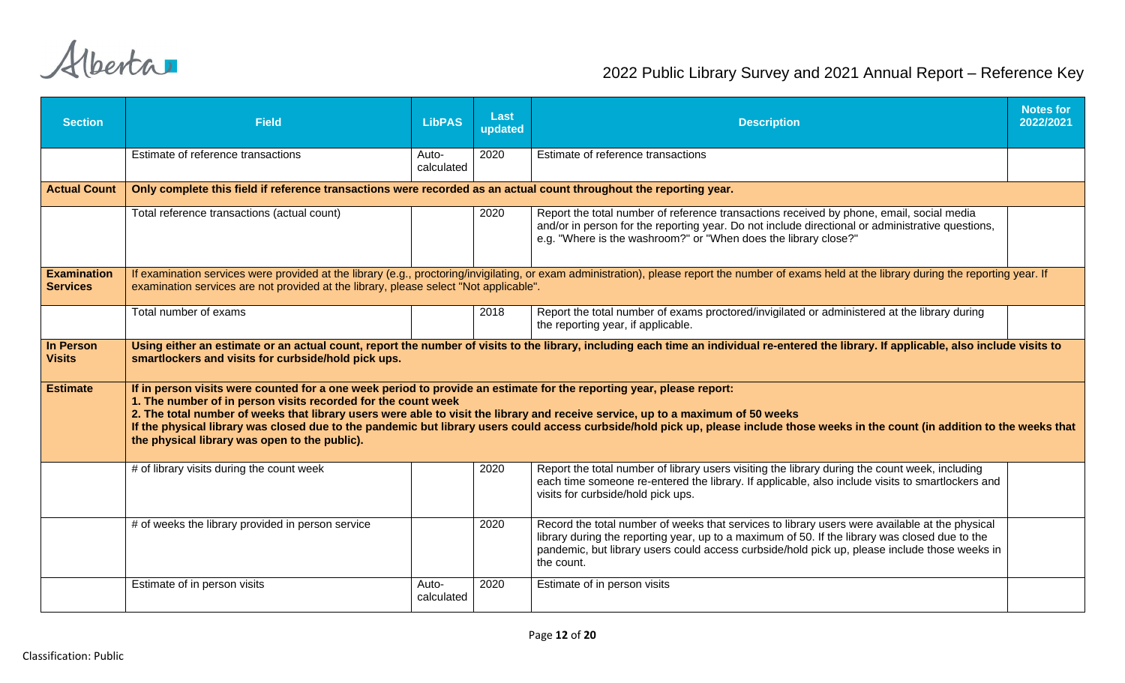| <b>Section</b>                        | <b>Field</b>                                                                                                                                                                                                                                                                                                                                                              | <b>LibPAS</b>       | Last<br>updated | <b>Description</b>                                                                                                                                                                                                                                                                                              | <b>Notes for</b><br>2022/2021 |
|---------------------------------------|---------------------------------------------------------------------------------------------------------------------------------------------------------------------------------------------------------------------------------------------------------------------------------------------------------------------------------------------------------------------------|---------------------|-----------------|-----------------------------------------------------------------------------------------------------------------------------------------------------------------------------------------------------------------------------------------------------------------------------------------------------------------|-------------------------------|
|                                       | Estimate of reference transactions                                                                                                                                                                                                                                                                                                                                        | Auto-<br>calculated | 2020            | Estimate of reference transactions                                                                                                                                                                                                                                                                              |                               |
| <b>Actual Count</b>                   | Only complete this field if reference transactions were recorded as an actual count throughout the reporting year.                                                                                                                                                                                                                                                        |                     |                 |                                                                                                                                                                                                                                                                                                                 |                               |
|                                       | Total reference transactions (actual count)                                                                                                                                                                                                                                                                                                                               |                     | 2020            | Report the total number of reference transactions received by phone, email, social media<br>and/or in person for the reporting year. Do not include directional or administrative questions,<br>e.g. "Where is the washroom?" or "When does the library close?"                                                 |                               |
| <b>Examination</b><br><b>Services</b> | examination services are not provided at the library, please select "Not applicable".                                                                                                                                                                                                                                                                                     |                     |                 | If examination services were provided at the library (e.g., proctoring/invigilating, or exam administration), please report the number of exams held at the library during the reporting year. If                                                                                                               |                               |
|                                       | Total number of exams                                                                                                                                                                                                                                                                                                                                                     |                     | 2018            | Report the total number of exams proctored/invigilated or administered at the library during<br>the reporting year, if applicable.                                                                                                                                                                              |                               |
| <b>In Person</b><br><b>Visits</b>     | smartlockers and visits for curbside/hold pick ups.                                                                                                                                                                                                                                                                                                                       |                     |                 | Using either an estimate or an actual count, report the number of visits to the library, including each time an individual re-entered the library. If applicable, also include visits to                                                                                                                        |                               |
| <b>Estimate</b>                       | If in person visits were counted for a one week period to provide an estimate for the reporting year, please report:<br>1. The number of in person visits recorded for the count week<br>2. The total number of weeks that library users were able to visit the library and receive service, up to a maximum of 50 weeks<br>the physical library was open to the public). |                     |                 | If the physical library was closed due to the pandemic but library users could access curbside/hold pick up, please include those weeks in the count (in addition to the weeks that                                                                                                                             |                               |
|                                       | # of library visits during the count week                                                                                                                                                                                                                                                                                                                                 |                     | 2020            | Report the total number of library users visiting the library during the count week, including<br>each time someone re-entered the library. If applicable, also include visits to smartlockers and<br>visits for curbside/hold pick ups.                                                                        |                               |
|                                       | # of weeks the library provided in person service                                                                                                                                                                                                                                                                                                                         |                     | 2020            | Record the total number of weeks that services to library users were available at the physical<br>library during the reporting year, up to a maximum of 50. If the library was closed due to the<br>pandemic, but library users could access curbside/hold pick up, please include those weeks in<br>the count. |                               |
|                                       | Estimate of in person visits                                                                                                                                                                                                                                                                                                                                              | Auto-<br>calculated | 2020            | Estimate of in person visits                                                                                                                                                                                                                                                                                    |                               |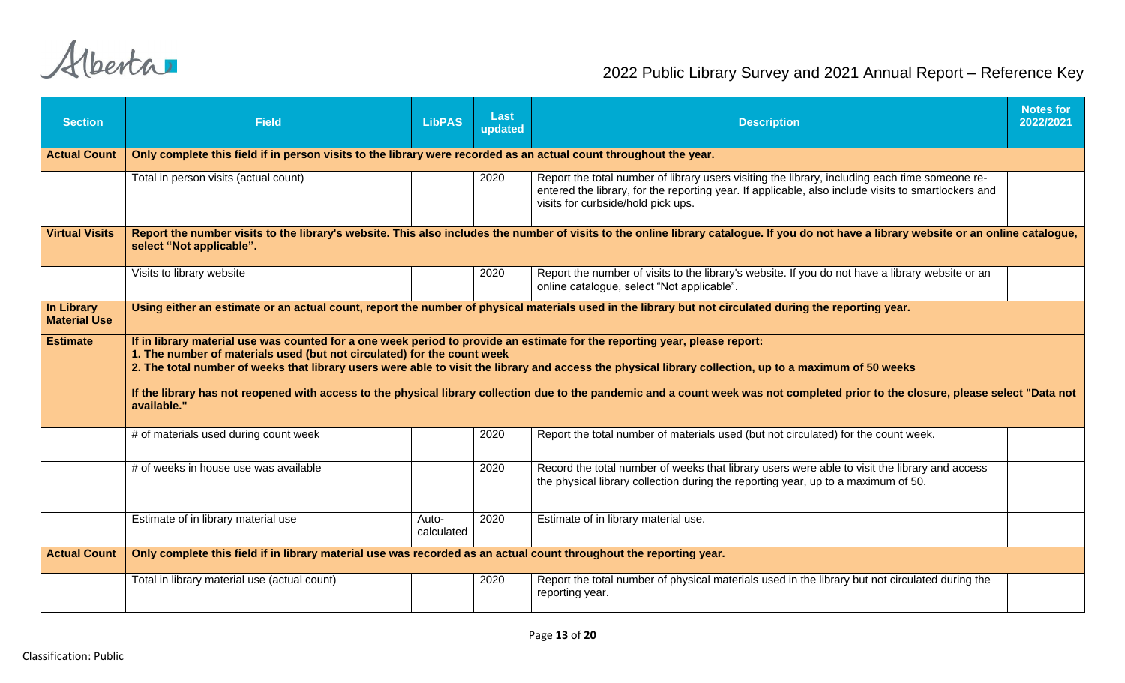| <b>Section</b>                           | <b>Field</b>                                                                                                                                                                                                                                                                                                                                                                                                                                                                                                                                                          | <b>LibPAS</b>       | Last<br>updated | <b>Description</b>                                                                                                                                                                                                                          | <b>Notes for</b><br>2022/2021 |  |  |  |
|------------------------------------------|-----------------------------------------------------------------------------------------------------------------------------------------------------------------------------------------------------------------------------------------------------------------------------------------------------------------------------------------------------------------------------------------------------------------------------------------------------------------------------------------------------------------------------------------------------------------------|---------------------|-----------------|---------------------------------------------------------------------------------------------------------------------------------------------------------------------------------------------------------------------------------------------|-------------------------------|--|--|--|
| <b>Actual Count</b>                      | Only complete this field if in person visits to the library were recorded as an actual count throughout the year.                                                                                                                                                                                                                                                                                                                                                                                                                                                     |                     |                 |                                                                                                                                                                                                                                             |                               |  |  |  |
|                                          | Total in person visits (actual count)                                                                                                                                                                                                                                                                                                                                                                                                                                                                                                                                 |                     | 2020            | Report the total number of library users visiting the library, including each time someone re-<br>entered the library, for the reporting year. If applicable, also include visits to smartlockers and<br>visits for curbside/hold pick ups. |                               |  |  |  |
| <b>Virtual Visits</b>                    | Report the number visits to the library's website. This also includes the number of visits to the online library catalogue. If you do not have a library website or an online catalogue,<br>select "Not applicable".                                                                                                                                                                                                                                                                                                                                                  |                     |                 |                                                                                                                                                                                                                                             |                               |  |  |  |
|                                          | Visits to library website                                                                                                                                                                                                                                                                                                                                                                                                                                                                                                                                             |                     | 2020            | Report the number of visits to the library's website. If you do not have a library website or an<br>online catalogue, select "Not applicable".                                                                                              |                               |  |  |  |
| <b>In Library</b><br><b>Material Use</b> | Using either an estimate or an actual count, report the number of physical materials used in the library but not circulated during the reporting year.                                                                                                                                                                                                                                                                                                                                                                                                                |                     |                 |                                                                                                                                                                                                                                             |                               |  |  |  |
| <b>Estimate</b>                          | If in library material use was counted for a one week period to provide an estimate for the reporting year, please report:<br>1. The number of materials used (but not circulated) for the count week<br>2. The total number of weeks that library users were able to visit the library and access the physical library collection, up to a maximum of 50 weeks<br>If the library has not reopened with access to the physical library collection due to the pandemic and a count week was not completed prior to the closure, please select "Data not<br>available." |                     |                 |                                                                                                                                                                                                                                             |                               |  |  |  |
|                                          | # of materials used during count week                                                                                                                                                                                                                                                                                                                                                                                                                                                                                                                                 |                     | 2020            | Report the total number of materials used (but not circulated) for the count week.                                                                                                                                                          |                               |  |  |  |
|                                          | # of weeks in house use was available                                                                                                                                                                                                                                                                                                                                                                                                                                                                                                                                 |                     | 2020            | Record the total number of weeks that library users were able to visit the library and access<br>the physical library collection during the reporting year, up to a maximum of 50.                                                          |                               |  |  |  |
|                                          | Estimate of in library material use                                                                                                                                                                                                                                                                                                                                                                                                                                                                                                                                   | Auto-<br>calculated | 2020            | Estimate of in library material use.                                                                                                                                                                                                        |                               |  |  |  |
| <b>Actual Count</b>                      | Only complete this field if in library material use was recorded as an actual count throughout the reporting year.                                                                                                                                                                                                                                                                                                                                                                                                                                                    |                     |                 |                                                                                                                                                                                                                                             |                               |  |  |  |
|                                          | Total in library material use (actual count)                                                                                                                                                                                                                                                                                                                                                                                                                                                                                                                          |                     | 2020            | Report the total number of physical materials used in the library but not circulated during the<br>reporting year.                                                                                                                          |                               |  |  |  |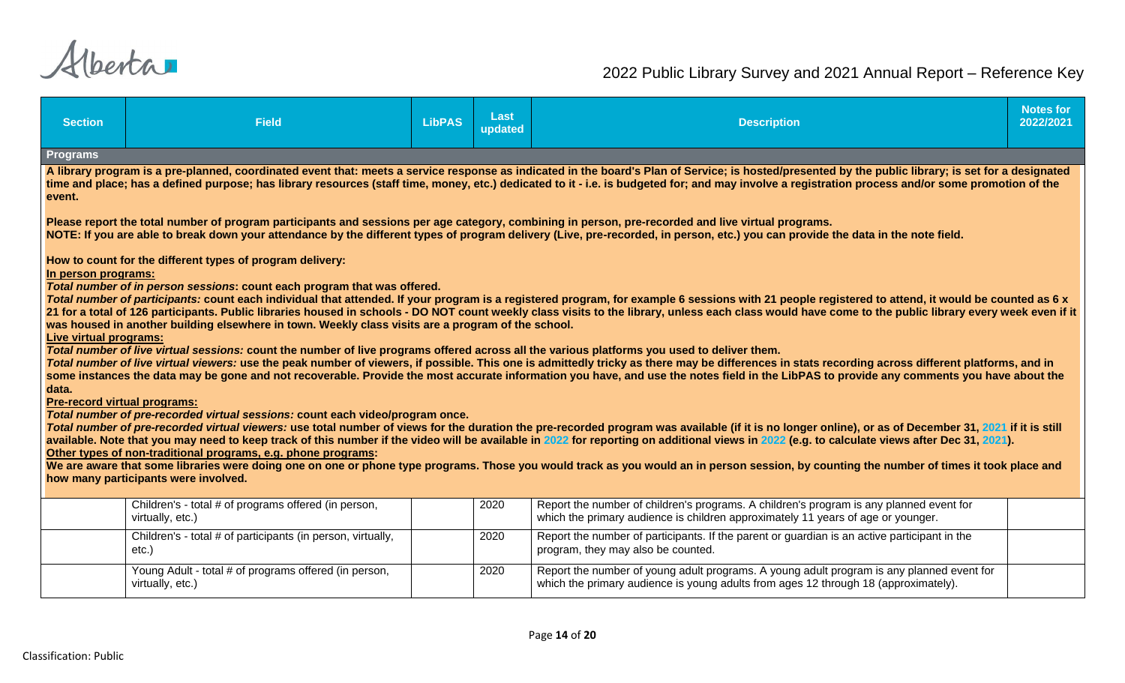| <b>Section</b>                                                                                                                                                                                                                                                                                                                                                                                                       | <b>Field</b>                                                                                                                                | <b>LibPAS</b> | Last<br>updated | <b>Description</b>                                                                                                                                                                                                                                                                                                                                                                              | <b>Notes for</b><br>2022/2021 |  |  |  |
|----------------------------------------------------------------------------------------------------------------------------------------------------------------------------------------------------------------------------------------------------------------------------------------------------------------------------------------------------------------------------------------------------------------------|---------------------------------------------------------------------------------------------------------------------------------------------|---------------|-----------------|-------------------------------------------------------------------------------------------------------------------------------------------------------------------------------------------------------------------------------------------------------------------------------------------------------------------------------------------------------------------------------------------------|-------------------------------|--|--|--|
| Programs                                                                                                                                                                                                                                                                                                                                                                                                             |                                                                                                                                             |               |                 |                                                                                                                                                                                                                                                                                                                                                                                                 |                               |  |  |  |
| A library program is a pre-planned, coordinated event that: meets a service response as indicated in the board's Plan of Service; is hosted/presented by the public library; is set for a designated<br>time and place; has a defined purpose; has library resources (staff time, money, etc.) dedicated to it - i.e. is budgeted for; and may involve a registration process and/or some promotion of the<br>event. |                                                                                                                                             |               |                 |                                                                                                                                                                                                                                                                                                                                                                                                 |                               |  |  |  |
|                                                                                                                                                                                                                                                                                                                                                                                                                      |                                                                                                                                             |               |                 | Please report the total number of program participants and sessions per age category, combining in person, pre-recorded and live virtual programs.<br>NOTE: If you are able to break down your attendance by the different types of program delivery (Live, pre-recorded, in person, etc.) you can provide the data in the note field.                                                          |                               |  |  |  |
| In person programs:                                                                                                                                                                                                                                                                                                                                                                                                  | How to count for the different types of program delivery:                                                                                   |               |                 |                                                                                                                                                                                                                                                                                                                                                                                                 |                               |  |  |  |
|                                                                                                                                                                                                                                                                                                                                                                                                                      | Total number of in person sessions: count each program that was offered.                                                                    |               |                 |                                                                                                                                                                                                                                                                                                                                                                                                 |                               |  |  |  |
|                                                                                                                                                                                                                                                                                                                                                                                                                      |                                                                                                                                             |               |                 | Total number of participants: count each individual that attended. If your program is a registered program, for example 6 sessions with 21 people registered to attend, it would be counted as 6 x                                                                                                                                                                                              |                               |  |  |  |
|                                                                                                                                                                                                                                                                                                                                                                                                                      | was housed in another building elsewhere in town. Weekly class visits are a program of the school.                                          |               |                 | 21 for a total of 126 participants. Public libraries housed in schools - DO NOT count weekly class visits to the library, unless each class would have come to the public library every week even if it                                                                                                                                                                                         |                               |  |  |  |
| Live virtual programs:                                                                                                                                                                                                                                                                                                                                                                                               |                                                                                                                                             |               |                 |                                                                                                                                                                                                                                                                                                                                                                                                 |                               |  |  |  |
|                                                                                                                                                                                                                                                                                                                                                                                                                      | Total number of live virtual sessions: count the number of live programs offered across all the various platforms you used to deliver them. |               |                 |                                                                                                                                                                                                                                                                                                                                                                                                 |                               |  |  |  |
|                                                                                                                                                                                                                                                                                                                                                                                                                      |                                                                                                                                             |               |                 | Total number of live virtual viewers: use the peak number of viewers, if possible. This one is admittedly tricky as there may be differences in stats recording across different platforms, and in<br>some instances the data may be gone and not recoverable. Provide the most accurate information you have, and use the notes field in the LibPAS to provide any comments you have about the |                               |  |  |  |
| data.                                                                                                                                                                                                                                                                                                                                                                                                                |                                                                                                                                             |               |                 |                                                                                                                                                                                                                                                                                                                                                                                                 |                               |  |  |  |
| <b>Pre-record virtual programs:</b>                                                                                                                                                                                                                                                                                                                                                                                  |                                                                                                                                             |               |                 |                                                                                                                                                                                                                                                                                                                                                                                                 |                               |  |  |  |
|                                                                                                                                                                                                                                                                                                                                                                                                                      | Total number of pre-recorded virtual sessions: count each video/program once.                                                               |               |                 | Total number of pre-recorded virtual viewers: use total number of views for the duration the pre-recorded program was available (if it is no longer online), or as of December 31, 2021 if it is still                                                                                                                                                                                          |                               |  |  |  |
|                                                                                                                                                                                                                                                                                                                                                                                                                      |                                                                                                                                             |               |                 | available. Note that you may need to keep track of this number if the video will be available in 2022 for reporting on additional views in 2022 (e.g. to calculate views after Dec 31, 2021)                                                                                                                                                                                                    |                               |  |  |  |
|                                                                                                                                                                                                                                                                                                                                                                                                                      | Other types of non-traditional programs, e.g. phone programs:                                                                               |               |                 | We are aware that some libraries were doing one on one or phone type programs. Those you would track as you would an in person session, by counting the number of times it took place and                                                                                                                                                                                                       |                               |  |  |  |
|                                                                                                                                                                                                                                                                                                                                                                                                                      | how many participants were involved.                                                                                                        |               |                 |                                                                                                                                                                                                                                                                                                                                                                                                 |                               |  |  |  |
|                                                                                                                                                                                                                                                                                                                                                                                                                      |                                                                                                                                             |               |                 |                                                                                                                                                                                                                                                                                                                                                                                                 |                               |  |  |  |
|                                                                                                                                                                                                                                                                                                                                                                                                                      | Children's - total # of programs offered (in person,<br>virtually, etc.)                                                                    |               | 2020            | Report the number of children's programs. A children's program is any planned event for<br>which the primary audience is children approximately 11 years of age or younger.                                                                                                                                                                                                                     |                               |  |  |  |
|                                                                                                                                                                                                                                                                                                                                                                                                                      | Children's - total # of participants (in person, virtually,<br>etc.)                                                                        |               | 2020            | Report the number of participants. If the parent or guardian is an active participant in the<br>program, they may also be counted.                                                                                                                                                                                                                                                              |                               |  |  |  |
|                                                                                                                                                                                                                                                                                                                                                                                                                      | Young Adult - total # of programs offered (in person,<br>virtually, etc.)                                                                   |               | 2020            | Report the number of young adult programs. A young adult program is any planned event for<br>which the primary audience is young adults from ages 12 through 18 (approximately).                                                                                                                                                                                                                |                               |  |  |  |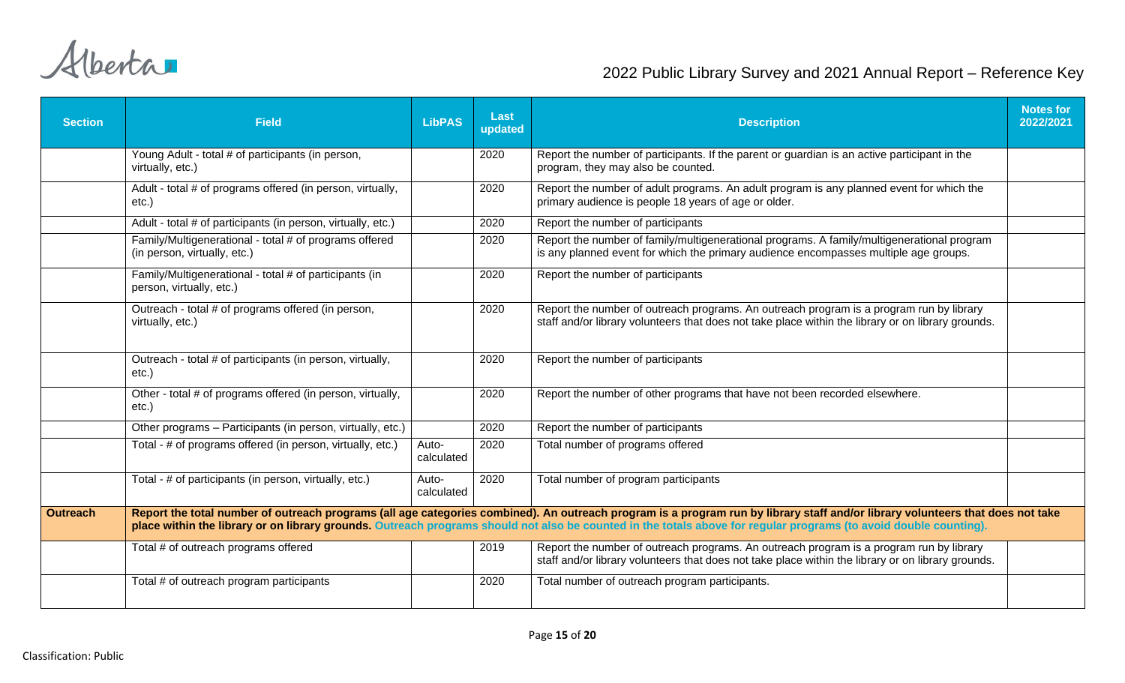| <b>Section</b>  | <b>Field</b>                                                                           | <b>LibPAS</b>       | <b>Last</b><br>updated | <b>Description</b>                                                                                                                                                                                                                                                                                                                                  | <b>Notes for</b><br>2022/2021 |
|-----------------|----------------------------------------------------------------------------------------|---------------------|------------------------|-----------------------------------------------------------------------------------------------------------------------------------------------------------------------------------------------------------------------------------------------------------------------------------------------------------------------------------------------------|-------------------------------|
|                 | Young Adult - total # of participants (in person,<br>virtually, etc.)                  |                     | 2020                   | Report the number of participants. If the parent or guardian is an active participant in the<br>program, they may also be counted.                                                                                                                                                                                                                  |                               |
|                 | Adult - total # of programs offered (in person, virtually,<br>$etc.$ )                 |                     | 2020                   | Report the number of adult programs. An adult program is any planned event for which the<br>primary audience is people 18 years of age or older.                                                                                                                                                                                                    |                               |
|                 | Adult - total # of participants (in person, virtually, etc.)                           |                     | 2020                   | Report the number of participants                                                                                                                                                                                                                                                                                                                   |                               |
|                 | Family/Multigenerational - total # of programs offered<br>(in person, virtually, etc.) |                     | 2020                   | Report the number of family/multigenerational programs. A family/multigenerational program<br>is any planned event for which the primary audience encompasses multiple age groups.                                                                                                                                                                  |                               |
|                 | Family/Multigenerational - total # of participants (in<br>person, virtually, etc.)     |                     | 2020                   | Report the number of participants                                                                                                                                                                                                                                                                                                                   |                               |
|                 | Outreach - total # of programs offered (in person,<br>virtually, etc.)                 |                     | 2020                   | Report the number of outreach programs. An outreach program is a program run by library<br>staff and/or library volunteers that does not take place within the library or on library grounds.                                                                                                                                                       |                               |
|                 | Outreach - total # of participants (in person, virtually,<br>$etc.$ )                  |                     | 2020                   | Report the number of participants                                                                                                                                                                                                                                                                                                                   |                               |
|                 | Other - total # of programs offered (in person, virtually,<br>$etc.$ )                 |                     | 2020                   | Report the number of other programs that have not been recorded elsewhere.                                                                                                                                                                                                                                                                          |                               |
|                 | Other programs - Participants (in person, virtually, etc.)                             |                     | 2020                   | Report the number of participants                                                                                                                                                                                                                                                                                                                   |                               |
|                 | Total - # of programs offered (in person, virtually, etc.)                             | Auto-<br>calculated | 2020                   | Total number of programs offered                                                                                                                                                                                                                                                                                                                    |                               |
|                 | Total - # of participants (in person, virtually, etc.)                                 | Auto-<br>calculated | 2020                   | Total number of program participants                                                                                                                                                                                                                                                                                                                |                               |
| <b>Outreach</b> |                                                                                        |                     |                        | Report the total number of outreach programs (all age categories combined). An outreach program is a program run by library staff and/or library volunteers that does not take<br>place within the library or on library grounds. Outreach programs should not also be counted in the totals above for regular programs (to avoid double counting). |                               |
|                 | Total # of outreach programs offered                                                   |                     | 2019                   | Report the number of outreach programs. An outreach program is a program run by library<br>staff and/or library volunteers that does not take place within the library or on library grounds.                                                                                                                                                       |                               |
|                 | Total # of outreach program participants                                               |                     | 2020                   | Total number of outreach program participants.                                                                                                                                                                                                                                                                                                      |                               |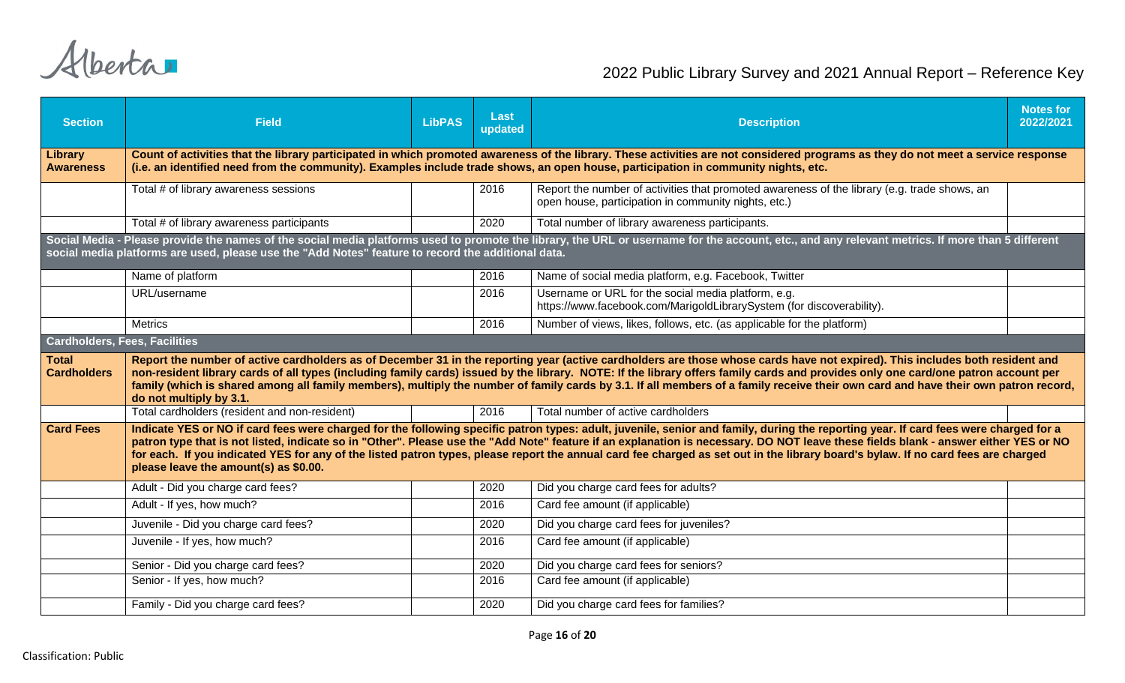| <b>Section</b>                       | <b>Field</b>                                                                                                                                                                                                                                                                                                                                                                                                                                                                                                                                                                                              | <b>LibPAS</b> | Last<br>updated | <b>Description</b>                                                                                                                                   | <b>Notes for</b><br>2022/2021 |  |  |  |
|--------------------------------------|-----------------------------------------------------------------------------------------------------------------------------------------------------------------------------------------------------------------------------------------------------------------------------------------------------------------------------------------------------------------------------------------------------------------------------------------------------------------------------------------------------------------------------------------------------------------------------------------------------------|---------------|-----------------|------------------------------------------------------------------------------------------------------------------------------------------------------|-------------------------------|--|--|--|
| Library<br><b>Awareness</b>          | Count of activities that the library participated in which promoted awareness of the library. These activities are not considered programs as they do not meet a service response<br>(i.e. an identified need from the community). Examples include trade shows, an open house, participation in community nights, etc.                                                                                                                                                                                                                                                                                   |               |                 |                                                                                                                                                      |                               |  |  |  |
|                                      | Total # of library awareness sessions                                                                                                                                                                                                                                                                                                                                                                                                                                                                                                                                                                     |               | 2016            | Report the number of activities that promoted awareness of the library (e.g. trade shows, an<br>open house, participation in community nights, etc.) |                               |  |  |  |
|                                      | Total # of library awareness participants                                                                                                                                                                                                                                                                                                                                                                                                                                                                                                                                                                 |               | 2020            | Total number of library awareness participants.                                                                                                      |                               |  |  |  |
|                                      | Social Media - Please provide the names of the social media platforms used to promote the library, the URL or username for the account, etc., and any relevant metrics. If more than 5 different<br>social media platforms are used, please use the "Add Notes" feature to record the additional data.                                                                                                                                                                                                                                                                                                    |               |                 |                                                                                                                                                      |                               |  |  |  |
|                                      | Name of platform                                                                                                                                                                                                                                                                                                                                                                                                                                                                                                                                                                                          |               | 2016            | Name of social media platform, e.g. Facebook, Twitter                                                                                                |                               |  |  |  |
|                                      | URL/username                                                                                                                                                                                                                                                                                                                                                                                                                                                                                                                                                                                              |               | 2016            | Username or URL for the social media platform, e.g.<br>https://www.facebook.com/MarigoldLibrarySystem (for discoverability).                         |                               |  |  |  |
|                                      | <b>Metrics</b>                                                                                                                                                                                                                                                                                                                                                                                                                                                                                                                                                                                            |               | 2016            | Number of views, likes, follows, etc. (as applicable for the platform)                                                                               |                               |  |  |  |
| <b>Cardholders, Fees, Facilities</b> |                                                                                                                                                                                                                                                                                                                                                                                                                                                                                                                                                                                                           |               |                 |                                                                                                                                                      |                               |  |  |  |
| <b>Total</b><br><b>Cardholders</b>   | Report the number of active cardholders as of December 31 in the reporting year (active cardholders are those whose cards have not expired). This includes both resident and<br>non-resident library cards of all types (including family cards) issued by the library. NOTE: If the library offers family cards and provides only one card/one patron account per<br>family (which is shared among all family members), multiply the number of family cards by 3.1. If all members of a family receive their own card and have their own patron record,<br>do not multiply by 3.1.                       |               |                 |                                                                                                                                                      |                               |  |  |  |
|                                      | Total cardholders (resident and non-resident)                                                                                                                                                                                                                                                                                                                                                                                                                                                                                                                                                             |               | 2016            | Total number of active cardholders                                                                                                                   |                               |  |  |  |
| <b>Card Fees</b>                     | Indicate YES or NO if card fees were charged for the following specific patron types: adult, juvenile, senior and family, during the reporting year. If card fees were charged for a<br>patron type that is not listed, indicate so in "Other". Please use the "Add Note" feature if an explanation is necessary. DO NOT leave these fields blank - answer either YES or NO<br>for each. If you indicated YES for any of the listed patron types, please report the annual card fee charged as set out in the library board's bylaw. If no card fees are charged<br>please leave the amount(s) as \$0.00. |               |                 |                                                                                                                                                      |                               |  |  |  |
|                                      | Adult - Did you charge card fees?                                                                                                                                                                                                                                                                                                                                                                                                                                                                                                                                                                         |               | 2020            | Did you charge card fees for adults?                                                                                                                 |                               |  |  |  |
|                                      | Adult - If yes, how much?                                                                                                                                                                                                                                                                                                                                                                                                                                                                                                                                                                                 |               | 2016            | Card fee amount (if applicable)                                                                                                                      |                               |  |  |  |
|                                      | Juvenile - Did you charge card fees?                                                                                                                                                                                                                                                                                                                                                                                                                                                                                                                                                                      |               | 2020            | Did you charge card fees for juveniles?                                                                                                              |                               |  |  |  |
|                                      | Juvenile - If yes, how much?                                                                                                                                                                                                                                                                                                                                                                                                                                                                                                                                                                              |               | 2016            | Card fee amount (if applicable)                                                                                                                      |                               |  |  |  |
|                                      | Senior - Did you charge card fees?                                                                                                                                                                                                                                                                                                                                                                                                                                                                                                                                                                        |               | 2020            | Did you charge card fees for seniors?                                                                                                                |                               |  |  |  |
|                                      | Senior - If yes, how much?                                                                                                                                                                                                                                                                                                                                                                                                                                                                                                                                                                                |               | 2016            | Card fee amount (if applicable)                                                                                                                      |                               |  |  |  |
|                                      | Family - Did you charge card fees?                                                                                                                                                                                                                                                                                                                                                                                                                                                                                                                                                                        |               | 2020            | Did you charge card fees for families?                                                                                                               |                               |  |  |  |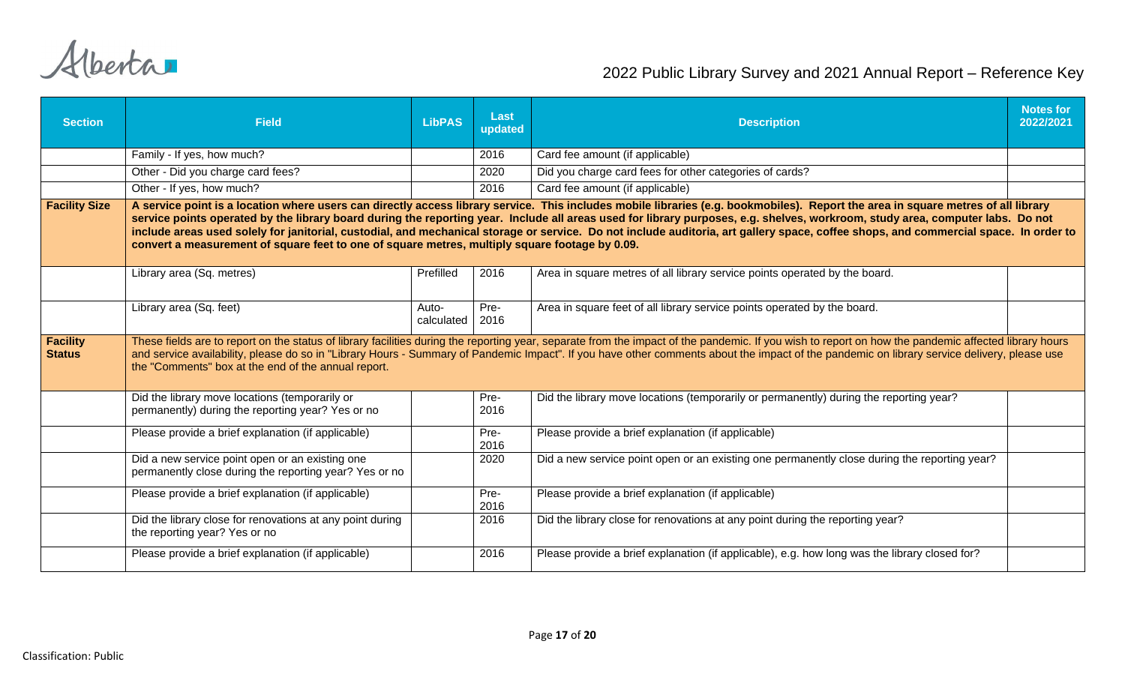| <b>Section</b>                   | <b>Field</b>                                                                                                                                                                                                                                                                                                                                                                                                                                                                                                                                                                                                                                                  | <b>LibPAS</b>       | Last<br>updated | <b>Description</b>                                                                                                                                                                                                                                                                                                                                                                                  | <b>Notes for</b><br>2022/2021 |  |
|----------------------------------|---------------------------------------------------------------------------------------------------------------------------------------------------------------------------------------------------------------------------------------------------------------------------------------------------------------------------------------------------------------------------------------------------------------------------------------------------------------------------------------------------------------------------------------------------------------------------------------------------------------------------------------------------------------|---------------------|-----------------|-----------------------------------------------------------------------------------------------------------------------------------------------------------------------------------------------------------------------------------------------------------------------------------------------------------------------------------------------------------------------------------------------------|-------------------------------|--|
|                                  | Family - If yes, how much?                                                                                                                                                                                                                                                                                                                                                                                                                                                                                                                                                                                                                                    |                     | 2016            | Card fee amount (if applicable)                                                                                                                                                                                                                                                                                                                                                                     |                               |  |
|                                  | Other - Did you charge card fees?                                                                                                                                                                                                                                                                                                                                                                                                                                                                                                                                                                                                                             |                     | 2020            | Did you charge card fees for other categories of cards?                                                                                                                                                                                                                                                                                                                                             |                               |  |
|                                  | Other - If yes, how much?                                                                                                                                                                                                                                                                                                                                                                                                                                                                                                                                                                                                                                     |                     | 2016            | Card fee amount (if applicable)                                                                                                                                                                                                                                                                                                                                                                     |                               |  |
| <b>Facility Size</b>             | A service point is a location where users can directly access library service. This includes mobile libraries (e.g. bookmobiles). Report the area in square metres of all library<br>service points operated by the library board during the reporting year. Include all areas used for library purposes, e.g. shelves, workroom, study area, computer labs. Do not<br>include areas used solely for janitorial, custodial, and mechanical storage or service. Do not include auditoria, art gallery space, coffee shops, and commercial space. In order to<br>convert a measurement of square feet to one of square metres, multiply square footage by 0.09. |                     |                 |                                                                                                                                                                                                                                                                                                                                                                                                     |                               |  |
|                                  | Library area (Sq. metres)                                                                                                                                                                                                                                                                                                                                                                                                                                                                                                                                                                                                                                     | Prefilled           | 2016            | Area in square metres of all library service points operated by the board.                                                                                                                                                                                                                                                                                                                          |                               |  |
|                                  | Library area (Sq. feet)                                                                                                                                                                                                                                                                                                                                                                                                                                                                                                                                                                                                                                       | Auto-<br>calculated | Pre-<br>2016    | Area in square feet of all library service points operated by the board.                                                                                                                                                                                                                                                                                                                            |                               |  |
| <b>Facility</b><br><b>Status</b> | the "Comments" box at the end of the annual report.                                                                                                                                                                                                                                                                                                                                                                                                                                                                                                                                                                                                           |                     |                 | These fields are to report on the status of library facilities during the reporting year, separate from the impact of the pandemic. If you wish to report on how the pandemic affected library hours<br>and service availability, please do so in "Library Hours - Summary of Pandemic Impact". If you have other comments about the impact of the pandemic on library service delivery, please use |                               |  |
|                                  | Did the library move locations (temporarily or<br>permanently) during the reporting year? Yes or no                                                                                                                                                                                                                                                                                                                                                                                                                                                                                                                                                           |                     | Pre-<br>2016    | Did the library move locations (temporarily or permanently) during the reporting year?                                                                                                                                                                                                                                                                                                              |                               |  |
|                                  | Please provide a brief explanation (if applicable)                                                                                                                                                                                                                                                                                                                                                                                                                                                                                                                                                                                                            |                     | Pre-<br>2016    | Please provide a brief explanation (if applicable)                                                                                                                                                                                                                                                                                                                                                  |                               |  |
|                                  | Did a new service point open or an existing one<br>permanently close during the reporting year? Yes or no                                                                                                                                                                                                                                                                                                                                                                                                                                                                                                                                                     |                     | 2020            | Did a new service point open or an existing one permanently close during the reporting year?                                                                                                                                                                                                                                                                                                        |                               |  |
|                                  | Please provide a brief explanation (if applicable)                                                                                                                                                                                                                                                                                                                                                                                                                                                                                                                                                                                                            |                     | Pre-<br>2016    | Please provide a brief explanation (if applicable)                                                                                                                                                                                                                                                                                                                                                  |                               |  |
|                                  | Did the library close for renovations at any point during<br>the reporting year? Yes or no                                                                                                                                                                                                                                                                                                                                                                                                                                                                                                                                                                    |                     | 2016            | Did the library close for renovations at any point during the reporting year?                                                                                                                                                                                                                                                                                                                       |                               |  |
|                                  | Please provide a brief explanation (if applicable)                                                                                                                                                                                                                                                                                                                                                                                                                                                                                                                                                                                                            |                     | 2016            | Please provide a brief explanation (if applicable), e.g. how long was the library closed for?                                                                                                                                                                                                                                                                                                       |                               |  |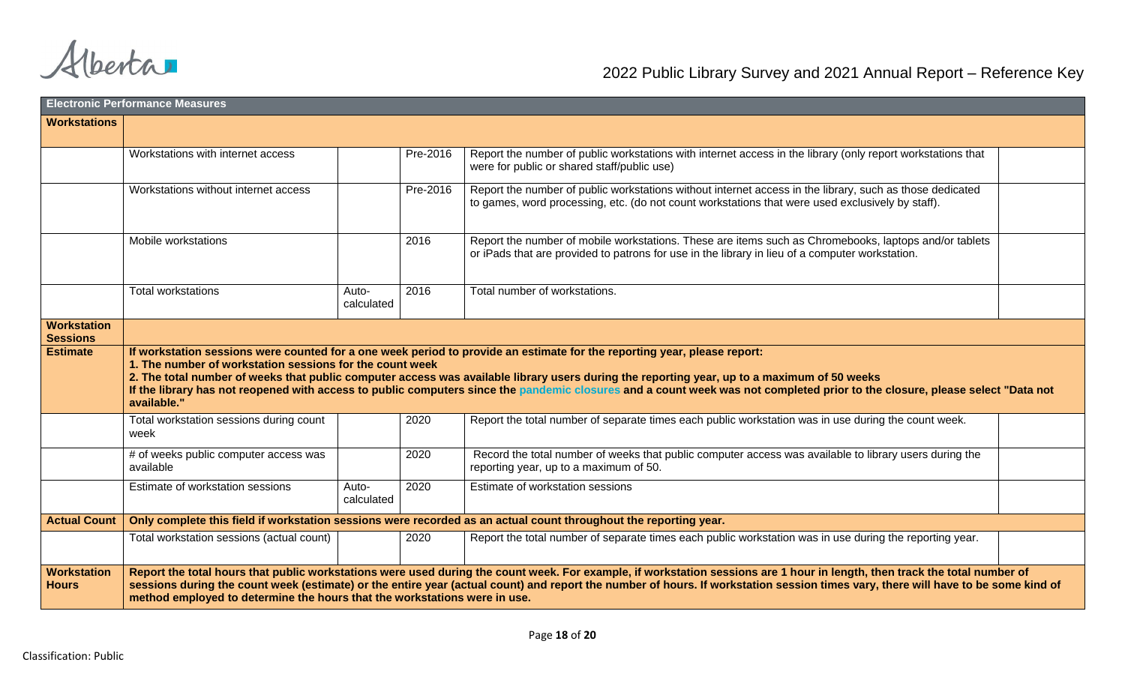|                                       | <b>Electronic Performance Measures</b>                                                                                                                                                                                                                                                                                                                                                                                                                                                                                             |                             |                                                                                                                                                                                                              |  |  |  |
|---------------------------------------|------------------------------------------------------------------------------------------------------------------------------------------------------------------------------------------------------------------------------------------------------------------------------------------------------------------------------------------------------------------------------------------------------------------------------------------------------------------------------------------------------------------------------------|-----------------------------|--------------------------------------------------------------------------------------------------------------------------------------------------------------------------------------------------------------|--|--|--|
| <b>Workstations</b>                   |                                                                                                                                                                                                                                                                                                                                                                                                                                                                                                                                    |                             |                                                                                                                                                                                                              |  |  |  |
|                                       |                                                                                                                                                                                                                                                                                                                                                                                                                                                                                                                                    |                             |                                                                                                                                                                                                              |  |  |  |
|                                       | Workstations with internet access                                                                                                                                                                                                                                                                                                                                                                                                                                                                                                  | Pre-2016                    | Report the number of public workstations with internet access in the library (only report workstations that<br>were for public or shared staff/public use)                                                   |  |  |  |
|                                       | Workstations without internet access                                                                                                                                                                                                                                                                                                                                                                                                                                                                                               | Pre-2016                    | Report the number of public workstations without internet access in the library, such as those dedicated<br>to games, word processing, etc. (do not count workstations that were used exclusively by staff). |  |  |  |
|                                       | Mobile workstations                                                                                                                                                                                                                                                                                                                                                                                                                                                                                                                | 2016                        | Report the number of mobile workstations. These are items such as Chromebooks, laptops and/or tablets<br>or iPads that are provided to patrons for use in the library in lieu of a computer workstation.     |  |  |  |
|                                       | <b>Total workstations</b>                                                                                                                                                                                                                                                                                                                                                                                                                                                                                                          | 2016<br>Auto-<br>calculated | Total number of workstations.                                                                                                                                                                                |  |  |  |
| <b>Workstation</b><br><b>Sessions</b> |                                                                                                                                                                                                                                                                                                                                                                                                                                                                                                                                    |                             |                                                                                                                                                                                                              |  |  |  |
| <b>Estimate</b>                       | If workstation sessions were counted for a one week period to provide an estimate for the reporting year, please report:<br>1. The number of workstation sessions for the count week<br>2. The total number of weeks that public computer access was available library users during the reporting year, up to a maximum of 50 weeks<br>If the library has not reopened with access to public computers since the pandemic closures and a count week was not completed prior to the closure, please select "Data not<br>available." |                             |                                                                                                                                                                                                              |  |  |  |
|                                       | Total workstation sessions during count<br>week                                                                                                                                                                                                                                                                                                                                                                                                                                                                                    | 2020                        | Report the total number of separate times each public workstation was in use during the count week.                                                                                                          |  |  |  |
|                                       | # of weeks public computer access was<br>available                                                                                                                                                                                                                                                                                                                                                                                                                                                                                 | 2020                        | Record the total number of weeks that public computer access was available to library users during the<br>reporting year, up to a maximum of 50.                                                             |  |  |  |
|                                       | Estimate of workstation sessions                                                                                                                                                                                                                                                                                                                                                                                                                                                                                                   | 2020<br>Auto-<br>calculated | Estimate of workstation sessions                                                                                                                                                                             |  |  |  |
| <b>Actual Count</b>                   |                                                                                                                                                                                                                                                                                                                                                                                                                                                                                                                                    |                             | Only complete this field if workstation sessions were recorded as an actual count throughout the reporting year.                                                                                             |  |  |  |
|                                       | Total workstation sessions (actual count)                                                                                                                                                                                                                                                                                                                                                                                                                                                                                          | 2020                        | Report the total number of separate times each public workstation was in use during the reporting year.                                                                                                      |  |  |  |
| <b>Workstation</b><br><b>Hours</b>    | Report the total hours that public workstations were used during the count week. For example, if workstation sessions are 1 hour in length, then track the total number of<br>sessions during the count week (estimate) or the entire year (actual count) and report the number of hours. If workstation session times vary, there will have to be some kind of<br>method employed to determine the hours that the workstations were in use.                                                                                       |                             |                                                                                                                                                                                                              |  |  |  |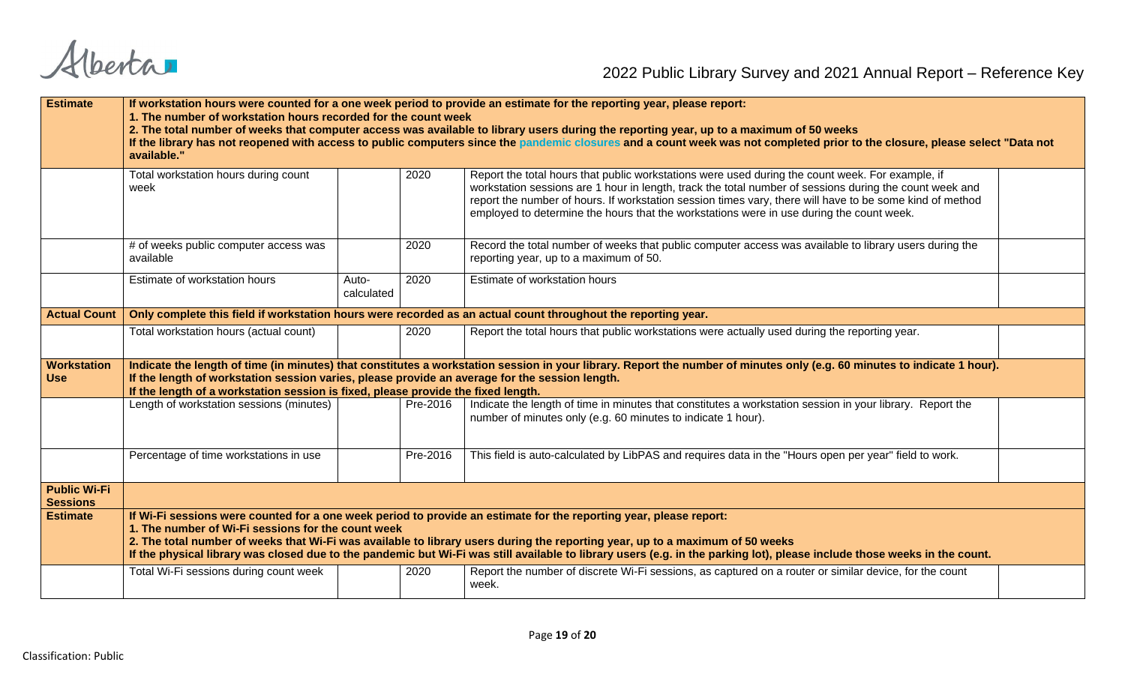| <b>Estimate</b>                        | If workstation hours were counted for a one week period to provide an estimate for the reporting year, please report:<br>1. The number of workstation hours recorded for the count week<br>2. The total number of weeks that computer access was available to library users during the reporting year, up to a maximum of 50 weeks<br>If the library has not reopened with access to public computers since the pandemic closures and a count week was not completed prior to the closure, please select "Data not<br>available." |                     |          |                                                                                                                                                                                                                                                                                                                                                                                                                     |  |  |  |
|----------------------------------------|-----------------------------------------------------------------------------------------------------------------------------------------------------------------------------------------------------------------------------------------------------------------------------------------------------------------------------------------------------------------------------------------------------------------------------------------------------------------------------------------------------------------------------------|---------------------|----------|---------------------------------------------------------------------------------------------------------------------------------------------------------------------------------------------------------------------------------------------------------------------------------------------------------------------------------------------------------------------------------------------------------------------|--|--|--|
|                                        | Total workstation hours during count<br>week                                                                                                                                                                                                                                                                                                                                                                                                                                                                                      |                     | 2020     | Report the total hours that public workstations were used during the count week. For example, if<br>workstation sessions are 1 hour in length, track the total number of sessions during the count week and<br>report the number of hours. If workstation session times vary, there will have to be some kind of method<br>employed to determine the hours that the workstations were in use during the count week. |  |  |  |
|                                        | # of weeks public computer access was<br>available                                                                                                                                                                                                                                                                                                                                                                                                                                                                                |                     | 2020     | Record the total number of weeks that public computer access was available to library users during the<br>reporting year, up to a maximum of 50.                                                                                                                                                                                                                                                                    |  |  |  |
|                                        | Estimate of workstation hours                                                                                                                                                                                                                                                                                                                                                                                                                                                                                                     | Auto-<br>calculated | 2020     | Estimate of workstation hours                                                                                                                                                                                                                                                                                                                                                                                       |  |  |  |
| <b>Actual Count</b>                    |                                                                                                                                                                                                                                                                                                                                                                                                                                                                                                                                   |                     |          | Only complete this field if workstation hours were recorded as an actual count throughout the reporting year.                                                                                                                                                                                                                                                                                                       |  |  |  |
|                                        | Total workstation hours (actual count)                                                                                                                                                                                                                                                                                                                                                                                                                                                                                            |                     | 2020     | Report the total hours that public workstations were actually used during the reporting year.                                                                                                                                                                                                                                                                                                                       |  |  |  |
| <b>Workstation</b><br><b>Use</b>       | If the length of workstation session varies, please provide an average for the session length.<br>If the length of a workstation session is fixed, please provide the fixed length.                                                                                                                                                                                                                                                                                                                                               |                     |          | Indicate the length of time (in minutes) that constitutes a workstation session in your library. Report the number of minutes only (e.g. 60 minutes to indicate 1 hour).                                                                                                                                                                                                                                            |  |  |  |
|                                        | Length of workstation sessions (minutes)                                                                                                                                                                                                                                                                                                                                                                                                                                                                                          |                     | Pre-2016 | Indicate the length of time in minutes that constitutes a workstation session in your library. Report the<br>number of minutes only (e.g. 60 minutes to indicate 1 hour).                                                                                                                                                                                                                                           |  |  |  |
|                                        | Percentage of time workstations in use                                                                                                                                                                                                                                                                                                                                                                                                                                                                                            |                     | Pre-2016 | This field is auto-calculated by LibPAS and requires data in the "Hours open per year" field to work.                                                                                                                                                                                                                                                                                                               |  |  |  |
| <b>Public Wi-Fi</b><br><b>Sessions</b> |                                                                                                                                                                                                                                                                                                                                                                                                                                                                                                                                   |                     |          |                                                                                                                                                                                                                                                                                                                                                                                                                     |  |  |  |
| <b>Estimate</b>                        | If Wi-Fi sessions were counted for a one week period to provide an estimate for the reporting year, please report:<br>1. The number of Wi-Fi sessions for the count week<br>2. The total number of weeks that Wi-Fi was available to library users during the reporting year, up to a maximum of 50 weeks<br>If the physical library was closed due to the pandemic but Wi-Fi was still available to library users (e.g. in the parking lot), please include those weeks in the count.                                            |                     |          |                                                                                                                                                                                                                                                                                                                                                                                                                     |  |  |  |
|                                        | Total Wi-Fi sessions during count week                                                                                                                                                                                                                                                                                                                                                                                                                                                                                            |                     | 2020     | Report the number of discrete Wi-Fi sessions, as captured on a router or similar device, for the count<br>week.                                                                                                                                                                                                                                                                                                     |  |  |  |